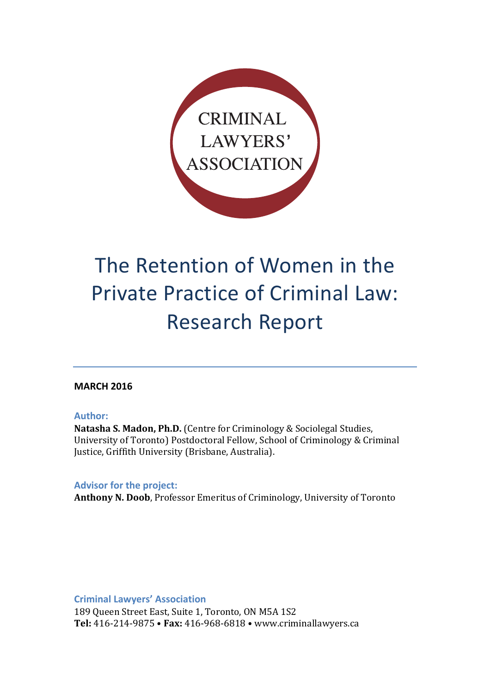

# The Retention of Women in the Private Practice of Criminal Law: Research Report

### **MARCH 2016**

#### **Author:**

Natasha S. Madon, Ph.D. (Centre for Criminology & Sociolegal Studies, University of Toronto) Postdoctoral Fellow, School of Criminology & Criminal Justice, Griffith University (Brisbane, Australia).

**Advisor for the project:** 

**Anthony N. Doob, Professor Emeritus of Criminology, University of Toronto** 

**Criminal Lawyers' Association**

189 Queen Street East, Suite 1, Toronto, ON M5A 1S2 **Tel:** 416-214-9875 • **Fax:** 416-968-6818 • www.criminallawyers.ca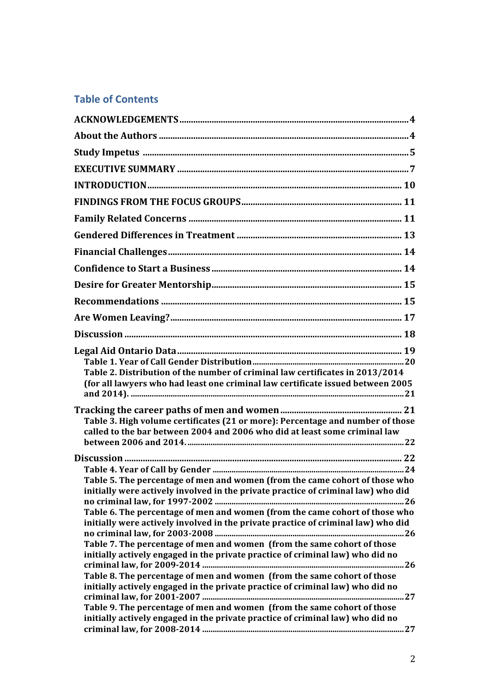## **Table of Contents**

| Table 2. Distribution of the number of criminal law certificates in 2013/2014<br>(for all lawyers who had least one criminal law certificate issued between 2005                                                                                                                                                                                                                                                                                                                                                                                                                                                                                               |
|----------------------------------------------------------------------------------------------------------------------------------------------------------------------------------------------------------------------------------------------------------------------------------------------------------------------------------------------------------------------------------------------------------------------------------------------------------------------------------------------------------------------------------------------------------------------------------------------------------------------------------------------------------------|
| Table 3. High volume certificates (21 or more): Percentage and number of those<br>called to the bar between 2004 and 2006 who did at least some criminal law                                                                                                                                                                                                                                                                                                                                                                                                                                                                                                   |
|                                                                                                                                                                                                                                                                                                                                                                                                                                                                                                                                                                                                                                                                |
| Table 5. The percentage of men and women (from the came cohort of those who<br>initially were actively involved in the private practice of criminal law) who did<br>Table 6. The percentage of men and women (from the came cohort of those who<br>initially were actively involved in the private practice of criminal law) who did<br>Table 7. The percentage of men and women (from the same cohort of those<br>initially actively engaged in the private practice of criminal law) who did no<br>Table 8. The percentage of men and women (from the same cohort of those<br>initially actively engaged in the private practice of criminal law) who did no |
| Table 9. The percentage of men and women (from the same cohort of those<br>initially actively engaged in the private practice of criminal law) who did no                                                                                                                                                                                                                                                                                                                                                                                                                                                                                                      |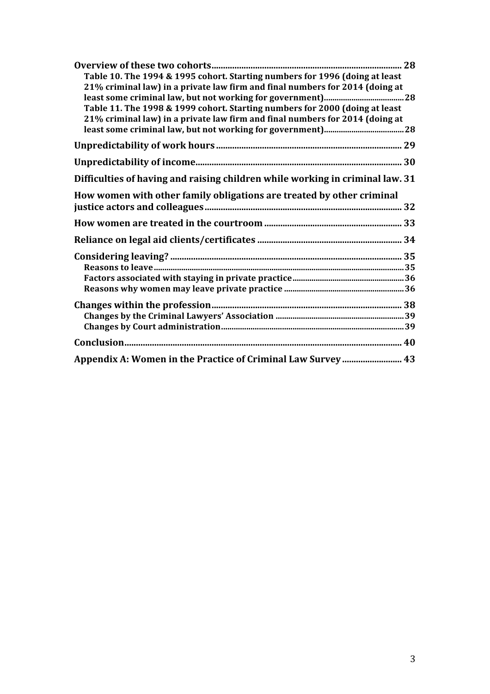| Table 10. The 1994 & 1995 cohort. Starting numbers for 1996 (doing at least<br>21% criminal law) in a private law firm and final numbers for 2014 (doing at |  |
|-------------------------------------------------------------------------------------------------------------------------------------------------------------|--|
| Table 11. The 1998 & 1999 cohort. Starting numbers for 2000 (doing at least<br>21% criminal law) in a private law firm and final numbers for 2014 (doing at |  |
|                                                                                                                                                             |  |
|                                                                                                                                                             |  |
|                                                                                                                                                             |  |
| Difficulties of having and raising children while working in criminal law. 31                                                                               |  |
| How women with other family obligations are treated by other criminal                                                                                       |  |
|                                                                                                                                                             |  |
|                                                                                                                                                             |  |
|                                                                                                                                                             |  |
|                                                                                                                                                             |  |
|                                                                                                                                                             |  |
|                                                                                                                                                             |  |
|                                                                                                                                                             |  |
|                                                                                                                                                             |  |
|                                                                                                                                                             |  |
|                                                                                                                                                             |  |
|                                                                                                                                                             |  |
| Appendix A: Women in the Practice of Criminal Law Survey 43                                                                                                 |  |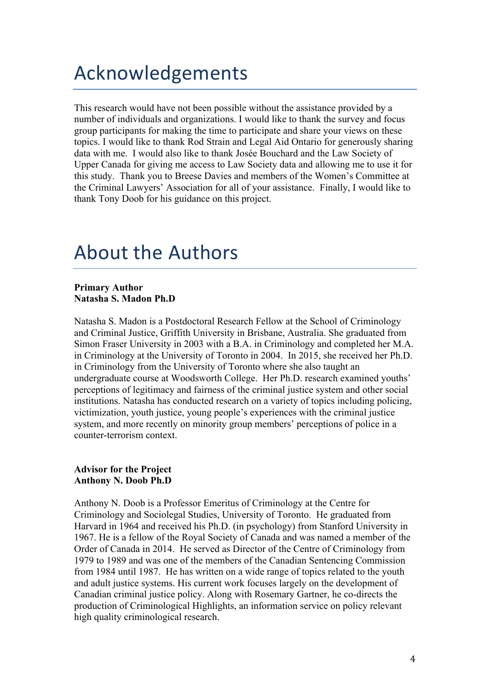## Acknowledgements

This research would have not been possible without the assistance provided by a number of individuals and organizations. I would like to thank the survey and focus group participants for making the time to participate and share your views on these topics. I would like to thank Rod Strain and Legal Aid Ontario for generously sharing data with me. I would also like to thank Josée Bouchard and the Law Society of Upper Canada for giving me access to Law Society data and allowing me to use it for this study. Thank you to Breese Davies and members of the Women's Committee at the Criminal Lawyers' Association for all of your assistance. Finally, I would like to thank Tony Doob for his guidance on this project.

## About the Authors

#### **Primary Author Natasha S. Madon Ph.D**

Natasha S. Madon is a Postdoctoral Research Fellow at the School of Criminology and Criminal Justice, Griffith University in Brisbane, Australia. She graduated from Simon Fraser University in 2003 with a B.A. in Criminology and completed her M.A. in Criminology at the University of Toronto in 2004. In 2015, she received her Ph.D. in Criminology from the University of Toronto where she also taught an undergraduate course at Woodsworth College. Her Ph.D. research examined youths' perceptions of legitimacy and fairness of the criminal justice system and other social institutions. Natasha has conducted research on a variety of topics including policing, victimization, youth justice, young people's experiences with the criminal justice system, and more recently on minority group members' perceptions of police in a counter-terrorism context.

#### **Advisor for the Project Anthony N. Doob Ph.D**

Anthony N. Doob is a Professor Emeritus of Criminology at the Centre for Criminology and Sociolegal Studies, University of Toronto. He graduated from Harvard in 1964 and received his Ph.D. (in psychology) from Stanford University in 1967. He is a fellow of the Royal Society of Canada and was named a member of the Order of Canada in 2014. He served as Director of the Centre of Criminology from 1979 to 1989 and was one of the members of the Canadian Sentencing Commission from 1984 until 1987. He has written on a wide range of topics related to the youth and adult justice systems. His current work focuses largely on the development of Canadian criminal justice policy. Along with Rosemary Gartner, he co-directs the production of Criminological Highlights, an information service on policy relevant high quality criminological research.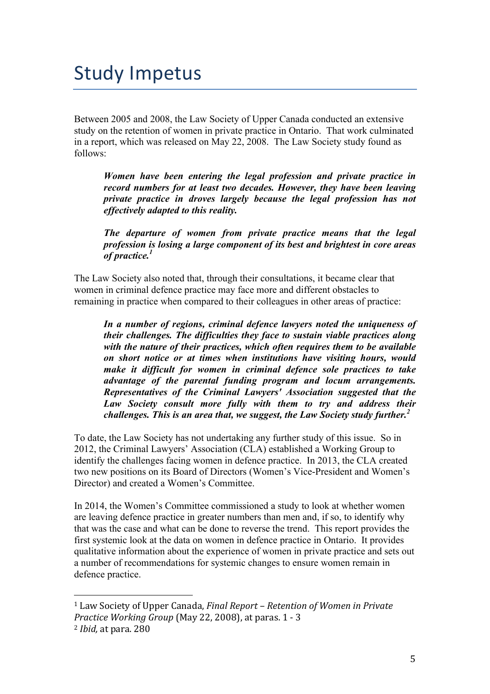## Study Impetus

Between 2005 and 2008, the Law Society of Upper Canada conducted an extensive study on the retention of women in private practice in Ontario. That work culminated in a report, which was released on May 22, 2008. The Law Society study found as follows:

*Women have been entering the legal profession and private practice in record numbers for at least two decades. However, they have been leaving private practice in droves largely because the legal profession has not effectively adapted to this reality.*

*The departure of women from private practice means that the legal profession is losing a large component of its best and brightest in core areas of practice.1*

The Law Society also noted that, through their consultations, it became clear that women in criminal defence practice may face more and different obstacles to remaining in practice when compared to their colleagues in other areas of practice:

*In a number of regions, criminal defence lawyers noted the uniqueness of their challenges. The difficulties they face to sustain viable practices along with the nature of their practices, which often requires them to be available on short notice or at times when institutions have visiting hours, would make it difficult for women in criminal defence sole practices to take advantage of the parental funding program and locum arrangements. Representatives of the Criminal Lawyers' Association suggested that the*  Law Society consult more fully with them to try and address their *challenges. This is an area that, we suggest, the Law Society study further.*<sup>2</sup>

To date, the Law Society has not undertaking any further study of this issue. So in 2012, the Criminal Lawyers' Association (CLA) established a Working Group to identify the challenges facing women in defence practice. In 2013, the CLA created two new positions on its Board of Directors (Women's Vice-President and Women's Director) and created a Women's Committee.

In 2014, the Women's Committee commissioned a study to look at whether women are leaving defence practice in greater numbers than men and, if so, to identify why that was the case and what can be done to reverse the trend. This report provides the first systemic look at the data on women in defence practice in Ontario. It provides qualitative information about the experience of women in private practice and sets out a number of recommendations for systemic changes to ensure women remain in defence practice.

 

<sup>&</sup>lt;sup>1</sup> Law Society of Upper Canada, *Final Report* – *Retention of Women in Private Practice Working Group* (May 22, 2008), at paras. 1 - 3 <sup>2</sup> *Ibid.* at para. 280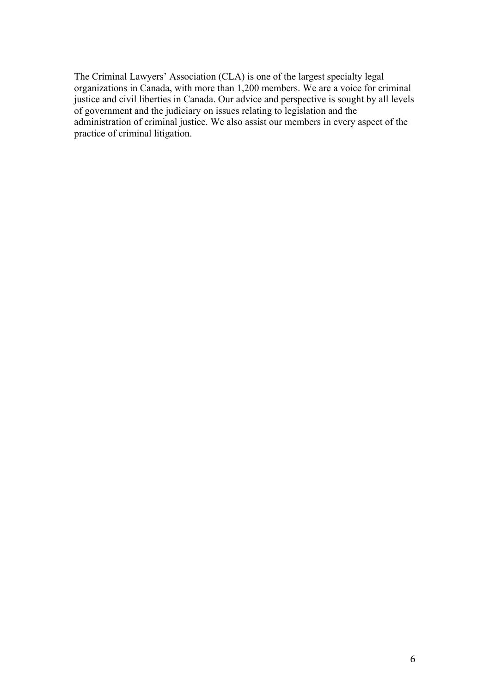The Criminal Lawyers' Association (CLA) is one of the largest specialty legal organizations in Canada, with more than 1,200 members. We are a voice for criminal justice and civil liberties in Canada. Our advice and perspective is sought by all levels of government and the judiciary on issues relating to legislation and the administration of criminal justice. We also assist our members in every aspect of the practice of criminal litigation.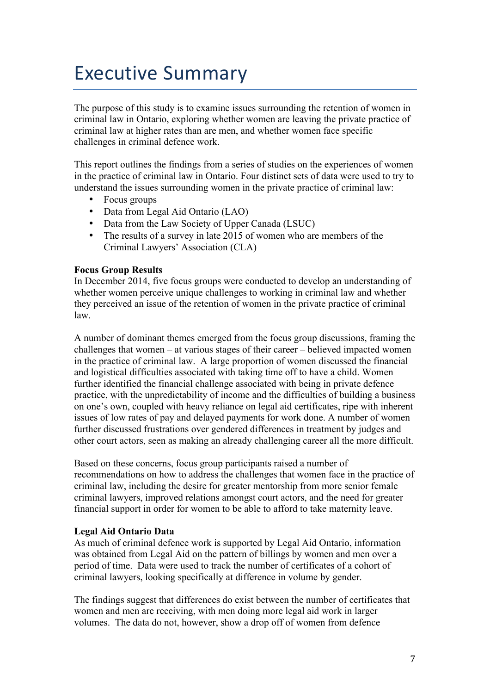## **Executive Summary**

The purpose of this study is to examine issues surrounding the retention of women in criminal law in Ontario, exploring whether women are leaving the private practice of criminal law at higher rates than are men, and whether women face specific challenges in criminal defence work.

This report outlines the findings from a series of studies on the experiences of women in the practice of criminal law in Ontario. Four distinct sets of data were used to try to understand the issues surrounding women in the private practice of criminal law:

- Focus groups
- Data from Legal Aid Ontario (LAO)
- Data from the Law Society of Upper Canada (LSUC)
- The results of a survey in late 2015 of women who are members of the Criminal Lawyers' Association (CLA)

### **Focus Group Results**

In December 2014, five focus groups were conducted to develop an understanding of whether women perceive unique challenges to working in criminal law and whether they perceived an issue of the retention of women in the private practice of criminal law.

A number of dominant themes emerged from the focus group discussions, framing the challenges that women – at various stages of their career – believed impacted women in the practice of criminal law. A large proportion of women discussed the financial and logistical difficulties associated with taking time off to have a child. Women further identified the financial challenge associated with being in private defence practice, with the unpredictability of income and the difficulties of building a business on one's own, coupled with heavy reliance on legal aid certificates, ripe with inherent issues of low rates of pay and delayed payments for work done. A number of women further discussed frustrations over gendered differences in treatment by judges and other court actors, seen as making an already challenging career all the more difficult.

Based on these concerns, focus group participants raised a number of recommendations on how to address the challenges that women face in the practice of criminal law, including the desire for greater mentorship from more senior female criminal lawyers, improved relations amongst court actors, and the need for greater financial support in order for women to be able to afford to take maternity leave.

### **Legal Aid Ontario Data**

As much of criminal defence work is supported by Legal Aid Ontario, information was obtained from Legal Aid on the pattern of billings by women and men over a period of time. Data were used to track the number of certificates of a cohort of criminal lawyers, looking specifically at difference in volume by gender.

The findings suggest that differences do exist between the number of certificates that women and men are receiving, with men doing more legal aid work in larger volumes. The data do not, however, show a drop off of women from defence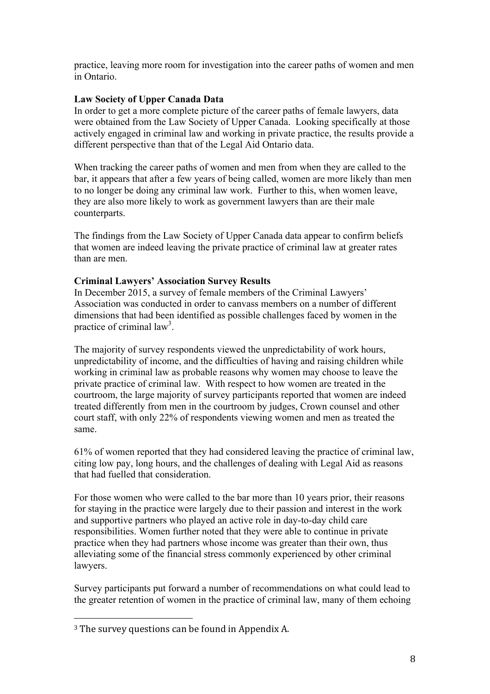practice, leaving more room for investigation into the career paths of women and men in Ontario.

#### **Law Society of Upper Canada Data**

In order to get a more complete picture of the career paths of female lawyers, data were obtained from the Law Society of Upper Canada. Looking specifically at those actively engaged in criminal law and working in private practice, the results provide a different perspective than that of the Legal Aid Ontario data.

When tracking the career paths of women and men from when they are called to the bar, it appears that after a few years of being called, women are more likely than men to no longer be doing any criminal law work. Further to this, when women leave, they are also more likely to work as government lawyers than are their male counterparts.

The findings from the Law Society of Upper Canada data appear to confirm beliefs that women are indeed leaving the private practice of criminal law at greater rates than are men.

#### **Criminal Lawyers' Association Survey Results**

In December 2015, a survey of female members of the Criminal Lawyers' Association was conducted in order to canvass members on a number of different dimensions that had been identified as possible challenges faced by women in the practice of criminal law<sup>3</sup>.

The majority of survey respondents viewed the unpredictability of work hours, unpredictability of income, and the difficulties of having and raising children while working in criminal law as probable reasons why women may choose to leave the private practice of criminal law. With respect to how women are treated in the courtroom, the large majority of survey participants reported that women are indeed treated differently from men in the courtroom by judges, Crown counsel and other court staff, with only 22% of respondents viewing women and men as treated the same.

61% of women reported that they had considered leaving the practice of criminal law, citing low pay, long hours, and the challenges of dealing with Legal Aid as reasons that had fuelled that consideration.

For those women who were called to the bar more than 10 years prior, their reasons for staying in the practice were largely due to their passion and interest in the work and supportive partners who played an active role in day-to-day child care responsibilities. Women further noted that they were able to continue in private practice when they had partners whose income was greater than their own, thus alleviating some of the financial stress commonly experienced by other criminal lawyers.

Survey participants put forward a number of recommendations on what could lead to the greater retention of women in the practice of criminal law, many of them echoing

 

 $3$  The survey questions can be found in Appendix A.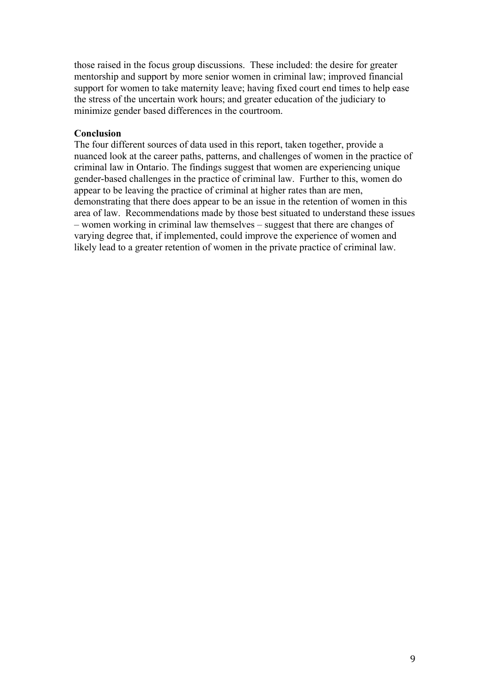those raised in the focus group discussions. These included: the desire for greater mentorship and support by more senior women in criminal law; improved financial support for women to take maternity leave; having fixed court end times to help ease the stress of the uncertain work hours; and greater education of the judiciary to minimize gender based differences in the courtroom.

#### **Conclusion**

The four different sources of data used in this report, taken together, provide a nuanced look at the career paths, patterns, and challenges of women in the practice of criminal law in Ontario. The findings suggest that women are experiencing unique gender-based challenges in the practice of criminal law. Further to this, women do appear to be leaving the practice of criminal at higher rates than are men, demonstrating that there does appear to be an issue in the retention of women in this area of law. Recommendations made by those best situated to understand these issues – women working in criminal law themselves – suggest that there are changes of varying degree that, if implemented, could improve the experience of women and likely lead to a greater retention of women in the private practice of criminal law.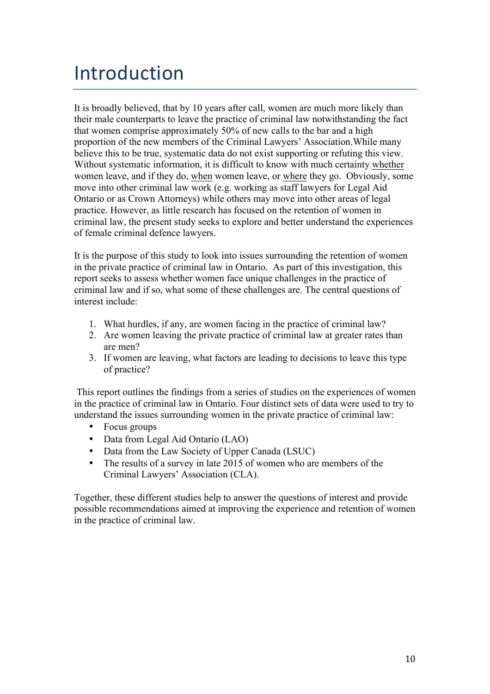# Introduction

It is broadly believed, that by 10 years after call, women are much more likely than their male counterparts to leave the practice of criminal law notwithstanding the fact that women comprise approximately 50% of new calls to the bar and a high proportion of the new members of the Criminal Lawyers' Association.While many believe this to be true, systematic data do not exist supporting or refuting this view. Without systematic information, it is difficult to know with much certainty whether women leave, and if they do, when women leave, or where they go. Obviously, some move into other criminal law work (e.g. working as staff lawyers for Legal Aid Ontario or as Crown Attorneys) while others may move into other areas of legal practice. However, as little research has focused on the retention of women in criminal law, the present study seeks to explore and better understand the experiences of female criminal defence lawyers.

It is the purpose of this study to look into issues surrounding the retention of women in the private practice of criminal law in Ontario. As part of this investigation, this report seeks to assess whether women face unique challenges in the practice of criminal law and if so, what some of these challenges are. The central questions of interest include:

- 1. What hurdles, if any, are women facing in the practice of criminal law?
- 2. Are women leaving the private practice of criminal law at greater rates than are men?
- 3. If women are leaving, what factors are leading to decisions to leave this type of practice?

This report outlines the findings from a series of studies on the experiences of women in the practice of criminal law in Ontario. Four distinct sets of data were used to try to understand the issues surrounding women in the private practice of criminal law:

- Focus groups
- Data from Legal Aid Ontario (LAO)
- Data from the Law Society of Upper Canada (LSUC)
- The results of a survey in late 2015 of women who are members of the Criminal Lawyers' Association (CLA).

Together, these different studies help to answer the questions of interest and provide possible recommendations aimed at improving the experience and retention of women in the practice of criminal law.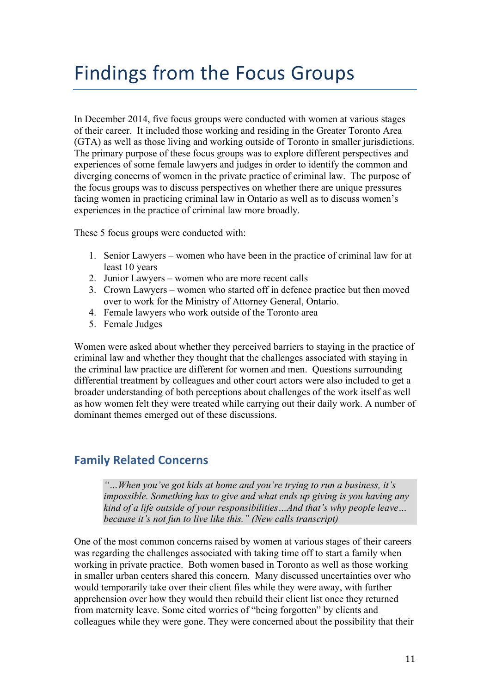## Findings from the Focus Groups

In December 2014, five focus groups were conducted with women at various stages of their career. It included those working and residing in the Greater Toronto Area (GTA) as well as those living and working outside of Toronto in smaller jurisdictions. The primary purpose of these focus groups was to explore different perspectives and experiences of some female lawyers and judges in order to identify the common and diverging concerns of women in the private practice of criminal law. The purpose of the focus groups was to discuss perspectives on whether there are unique pressures facing women in practicing criminal law in Ontario as well as to discuss women's experiences in the practice of criminal law more broadly.

These 5 focus groups were conducted with:

- 1. Senior Lawyers women who have been in the practice of criminal law for at least 10 years
- 2. Junior Lawyers women who are more recent calls
- 3. Crown Lawyers women who started off in defence practice but then moved over to work for the Ministry of Attorney General, Ontario.
- 4. Female lawyers who work outside of the Toronto area
- 5. Female Judges

Women were asked about whether they perceived barriers to staying in the practice of criminal law and whether they thought that the challenges associated with staying in the criminal law practice are different for women and men. Questions surrounding differential treatment by colleagues and other court actors were also included to get a broader understanding of both perceptions about challenges of the work itself as well as how women felt they were treated while carrying out their daily work. A number of dominant themes emerged out of these discussions.

## **Family Related Concerns**

*"…When you've got kids at home and you're trying to run a business, it's impossible. Something has to give and what ends up giving is you having any kind of a life outside of your responsibilities…And that's why people leave… because it's not fun to live like this." (New calls transcript)*

One of the most common concerns raised by women at various stages of their careers was regarding the challenges associated with taking time off to start a family when working in private practice. Both women based in Toronto as well as those working in smaller urban centers shared this concern. Many discussed uncertainties over who would temporarily take over their client files while they were away, with further apprehension over how they would then rebuild their client list once they returned from maternity leave. Some cited worries of "being forgotten" by clients and colleagues while they were gone. They were concerned about the possibility that their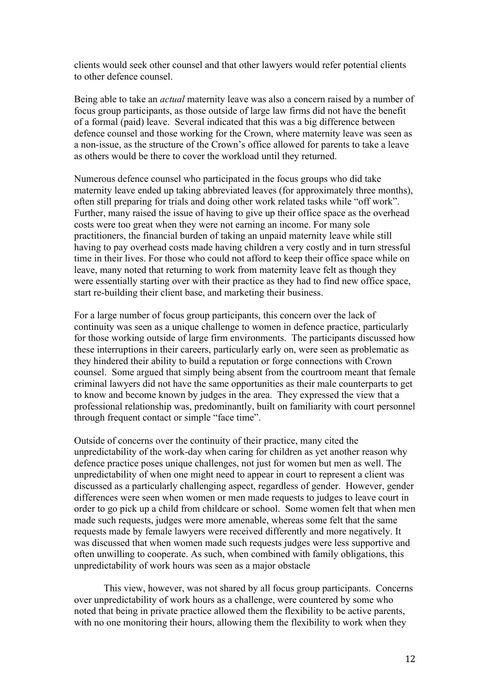clients would seek other counsel and that other lawyers would refer potential clients to other defence counsel.

Being able to take an *actual* maternity leave was also a concern raised by a number of focus group participants, as those outside of large law firms did not have the benefit of a formal (paid) leave. Several indicated that this was a big difference between defence counsel and those working for the Crown, where maternity leave was seen as a non-issue, as the structure of the Crown's office allowed for parents to take a leave as others would be there to cover the workload until they returned.

Numerous defence counsel who participated in the focus groups who did take maternity leave ended up taking abbreviated leaves (for approximately three months), often still preparing for trials and doing other work related tasks while "off work". Further, many raised the issue of having to give up their office space as the overhead costs were too great when they were not earning an income. For many sole practitioners, the financial burden of taking an unpaid maternity leave while still having to pay overhead costs made having children a very costly and in turn stressful time in their lives. For those who could not afford to keep their office space while on leave, many noted that returning to work from maternity leave felt as though they were essentially starting over with their practice as they had to find new office space, start re-building their client base, and marketing their business.

For a large number of focus group participants, this concern over the lack of continuity was seen as a unique challenge to women in defence practice, particularly for those working outside of large firm environments. The participants discussed how these interruptions in their careers, particularly early on, were seen as problematic as they hindered their ability to build a reputation or forge connections with Crown counsel. Some argued that simply being absent from the courtroom meant that female criminal lawyers did not have the same opportunities as their male counterparts to get to know and become known by judges in the area. They expressed the view that a professional relationship was, predominantly, built on familiarity with court personnel through frequent contact or simple "face time".

Outside of concerns over the continuity of their practice, many cited the unpredictability of the work-day when caring for children as yet another reason why defence practice poses unique challenges, not just for women but men as well. The unpredictability of when one might need to appear in court to represent a client was discussed as a particularly challenging aspect, regardless of gender. However, gender differences were seen when women or men made requests to judges to leave court in order to go pick up a child from childcare or school. Some women felt that when men made such requests, judges were more amenable, whereas some felt that the same requests made by female lawyers were received differently and more negatively. It was discussed that when women made such requests judges were less supportive and often unwilling to cooperate. As such, when combined with family obligations, this unpredictability of work hours was seen as a major obstacle

This view, however, was not shared by all focus group participants. Concerns over unpredictability of work hours as a challenge, were countered by some who noted that being in private practice allowed them the flexibility to be active parents, with no one monitoring their hours, allowing them the flexibility to work when they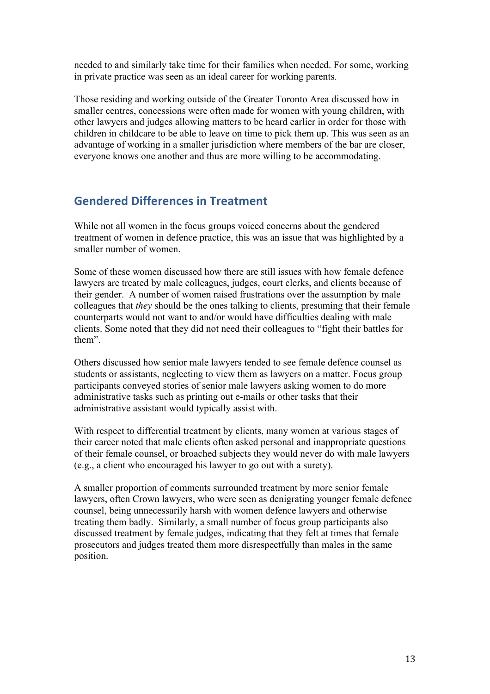needed to and similarly take time for their families when needed. For some, working in private practice was seen as an ideal career for working parents.

Those residing and working outside of the Greater Toronto Area discussed how in smaller centres, concessions were often made for women with young children, with other lawyers and judges allowing matters to be heard earlier in order for those with children in childcare to be able to leave on time to pick them up. This was seen as an advantage of working in a smaller jurisdiction where members of the bar are closer, everyone knows one another and thus are more willing to be accommodating.

## **Gendered Differences in Treatment**

While not all women in the focus groups voiced concerns about the gendered treatment of women in defence practice, this was an issue that was highlighted by a smaller number of women.

Some of these women discussed how there are still issues with how female defence lawyers are treated by male colleagues, judges, court clerks, and clients because of their gender. A number of women raised frustrations over the assumption by male colleagues that *they* should be the ones talking to clients, presuming that their female counterparts would not want to and/or would have difficulties dealing with male clients. Some noted that they did not need their colleagues to "fight their battles for them".

Others discussed how senior male lawyers tended to see female defence counsel as students or assistants, neglecting to view them as lawyers on a matter. Focus group participants conveyed stories of senior male lawyers asking women to do more administrative tasks such as printing out e-mails or other tasks that their administrative assistant would typically assist with.

With respect to differential treatment by clients, many women at various stages of their career noted that male clients often asked personal and inappropriate questions of their female counsel, or broached subjects they would never do with male lawyers (e.g., a client who encouraged his lawyer to go out with a surety).

A smaller proportion of comments surrounded treatment by more senior female lawyers, often Crown lawyers, who were seen as denigrating younger female defence counsel, being unnecessarily harsh with women defence lawyers and otherwise treating them badly. Similarly, a small number of focus group participants also discussed treatment by female judges, indicating that they felt at times that female prosecutors and judges treated them more disrespectfully than males in the same position.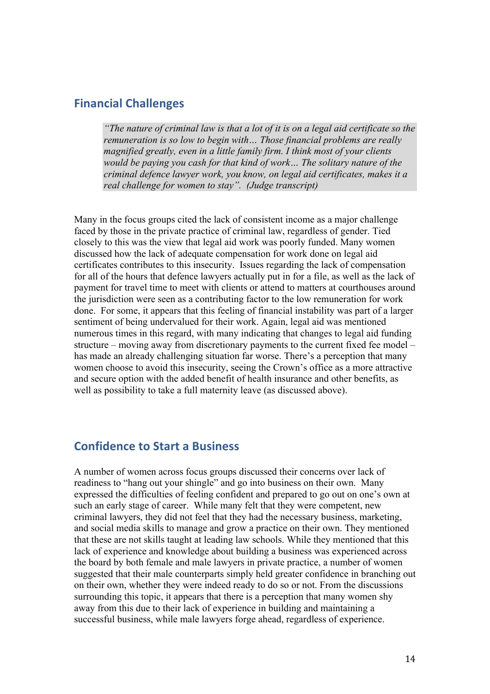## **Financial Challenges**

*"The nature of criminal law is that a lot of it is on a legal aid certificate so the remuneration is so low to begin with… Those financial problems are really magnified greatly, even in a little family firm. I think most of your clients would be paying you cash for that kind of work… The solitary nature of the criminal defence lawyer work, you know, on legal aid certificates, makes it a real challenge for women to stay". (Judge transcript)*

Many in the focus groups cited the lack of consistent income as a major challenge faced by those in the private practice of criminal law, regardless of gender. Tied closely to this was the view that legal aid work was poorly funded. Many women discussed how the lack of adequate compensation for work done on legal aid certificates contributes to this insecurity. Issues regarding the lack of compensation for all of the hours that defence lawyers actually put in for a file, as well as the lack of payment for travel time to meet with clients or attend to matters at courthouses around the jurisdiction were seen as a contributing factor to the low remuneration for work done. For some, it appears that this feeling of financial instability was part of a larger sentiment of being undervalued for their work. Again, legal aid was mentioned numerous times in this regard, with many indicating that changes to legal aid funding structure – moving away from discretionary payments to the current fixed fee model – has made an already challenging situation far worse. There's a perception that many women choose to avoid this insecurity, seeing the Crown's office as a more attractive and secure option with the added benefit of health insurance and other benefits, as well as possibility to take a full maternity leave (as discussed above).

## **Confidence to Start a Business**

A number of women across focus groups discussed their concerns over lack of readiness to "hang out your shingle" and go into business on their own. Many expressed the difficulties of feeling confident and prepared to go out on one's own at such an early stage of career. While many felt that they were competent, new criminal lawyers, they did not feel that they had the necessary business, marketing, and social media skills to manage and grow a practice on their own. They mentioned that these are not skills taught at leading law schools. While they mentioned that this lack of experience and knowledge about building a business was experienced across the board by both female and male lawyers in private practice, a number of women suggested that their male counterparts simply held greater confidence in branching out on their own, whether they were indeed ready to do so or not. From the discussions surrounding this topic, it appears that there is a perception that many women shy away from this due to their lack of experience in building and maintaining a successful business, while male lawyers forge ahead, regardless of experience.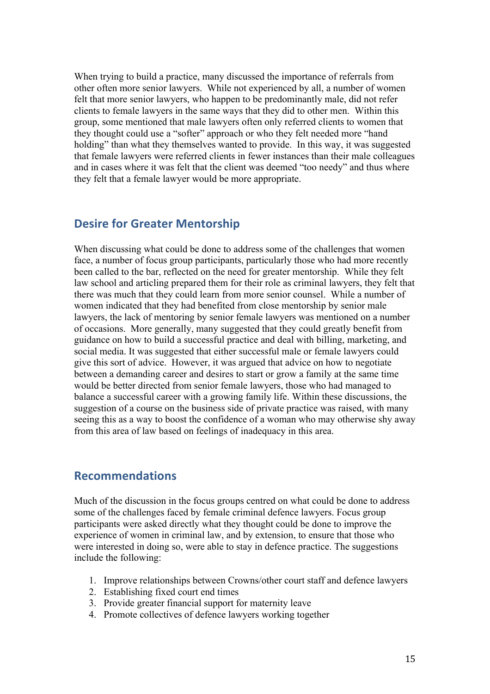When trying to build a practice, many discussed the importance of referrals from other often more senior lawyers. While not experienced by all, a number of women felt that more senior lawyers, who happen to be predominantly male, did not refer clients to female lawyers in the same ways that they did to other men. Within this group, some mentioned that male lawyers often only referred clients to women that they thought could use a "softer" approach or who they felt needed more "hand holding" than what they themselves wanted to provide. In this way, it was suggested that female lawyers were referred clients in fewer instances than their male colleagues and in cases where it was felt that the client was deemed "too needy" and thus where they felt that a female lawyer would be more appropriate.

## **Desire for Greater Mentorship**

When discussing what could be done to address some of the challenges that women face, a number of focus group participants, particularly those who had more recently been called to the bar, reflected on the need for greater mentorship. While they felt law school and articling prepared them for their role as criminal lawyers, they felt that there was much that they could learn from more senior counsel. While a number of women indicated that they had benefited from close mentorship by senior male lawyers, the lack of mentoring by senior female lawyers was mentioned on a number of occasions. More generally, many suggested that they could greatly benefit from guidance on how to build a successful practice and deal with billing, marketing, and social media. It was suggested that either successful male or female lawyers could give this sort of advice. However, it was argued that advice on how to negotiate between a demanding career and desires to start or grow a family at the same time would be better directed from senior female lawyers, those who had managed to balance a successful career with a growing family life. Within these discussions, the suggestion of a course on the business side of private practice was raised, with many seeing this as a way to boost the confidence of a woman who may otherwise shy away from this area of law based on feelings of inadequacy in this area.

## **Recommendations**

Much of the discussion in the focus groups centred on what could be done to address some of the challenges faced by female criminal defence lawyers. Focus group participants were asked directly what they thought could be done to improve the experience of women in criminal law, and by extension, to ensure that those who were interested in doing so, were able to stay in defence practice. The suggestions include the following:

- 1. Improve relationships between Crowns/other court staff and defence lawyers
- 2. Establishing fixed court end times
- 3. Provide greater financial support for maternity leave
- 4. Promote collectives of defence lawyers working together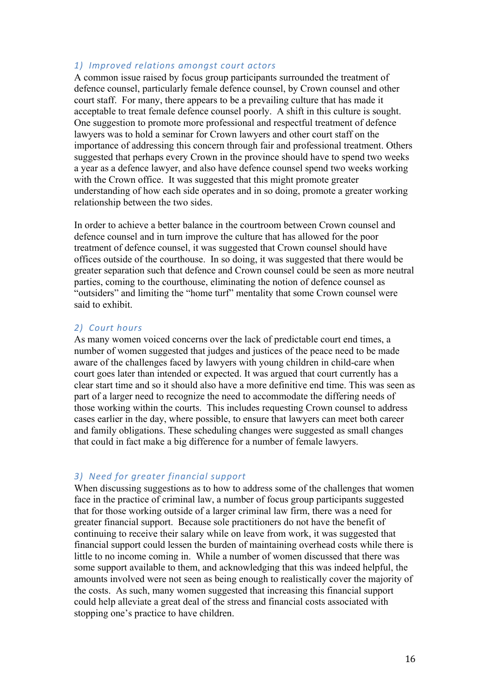#### *1) Improved relations amongst court actors*

A common issue raised by focus group participants surrounded the treatment of defence counsel, particularly female defence counsel, by Crown counsel and other court staff. For many, there appears to be a prevailing culture that has made it acceptable to treat female defence counsel poorly. A shift in this culture is sought. One suggestion to promote more professional and respectful treatment of defence lawyers was to hold a seminar for Crown lawyers and other court staff on the importance of addressing this concern through fair and professional treatment. Others suggested that perhaps every Crown in the province should have to spend two weeks a year as a defence lawyer, and also have defence counsel spend two weeks working with the Crown office. It was suggested that this might promote greater understanding of how each side operates and in so doing, promote a greater working relationship between the two sides.

In order to achieve a better balance in the courtroom between Crown counsel and defence counsel and in turn improve the culture that has allowed for the poor treatment of defence counsel, it was suggested that Crown counsel should have offices outside of the courthouse. In so doing, it was suggested that there would be greater separation such that defence and Crown counsel could be seen as more neutral parties, coming to the courthouse, eliminating the notion of defence counsel as "outsiders" and limiting the "home turf" mentality that some Crown counsel were said to exhibit.

#### 2) *Court hours*

As many women voiced concerns over the lack of predictable court end times, a number of women suggested that judges and justices of the peace need to be made aware of the challenges faced by lawyers with young children in child-care when court goes later than intended or expected. It was argued that court currently has a clear start time and so it should also have a more definitive end time. This was seen as part of a larger need to recognize the need to accommodate the differing needs of those working within the courts. This includes requesting Crown counsel to address cases earlier in the day, where possible, to ensure that lawyers can meet both career and family obligations. These scheduling changes were suggested as small changes that could in fact make a big difference for a number of female lawyers.

#### *3) Need for greater financial support*

When discussing suggestions as to how to address some of the challenges that women face in the practice of criminal law, a number of focus group participants suggested that for those working outside of a larger criminal law firm, there was a need for greater financial support. Because sole practitioners do not have the benefit of continuing to receive their salary while on leave from work, it was suggested that financial support could lessen the burden of maintaining overhead costs while there is little to no income coming in. While a number of women discussed that there was some support available to them, and acknowledging that this was indeed helpful, the amounts involved were not seen as being enough to realistically cover the majority of the costs. As such, many women suggested that increasing this financial support could help alleviate a great deal of the stress and financial costs associated with stopping one's practice to have children.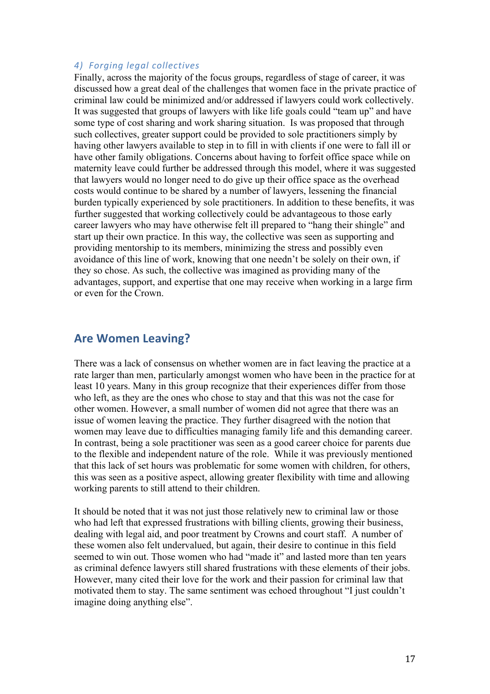#### *4) Forging legal collectives*

Finally, across the majority of the focus groups, regardless of stage of career, it was discussed how a great deal of the challenges that women face in the private practice of criminal law could be minimized and/or addressed if lawyers could work collectively. It was suggested that groups of lawyers with like life goals could "team up" and have some type of cost sharing and work sharing situation. Is was proposed that through such collectives, greater support could be provided to sole practitioners simply by having other lawyers available to step in to fill in with clients if one were to fall ill or have other family obligations. Concerns about having to forfeit office space while on maternity leave could further be addressed through this model, where it was suggested that lawyers would no longer need to do give up their office space as the overhead costs would continue to be shared by a number of lawyers, lessening the financial burden typically experienced by sole practitioners. In addition to these benefits, it was further suggested that working collectively could be advantageous to those early career lawyers who may have otherwise felt ill prepared to "hang their shingle" and start up their own practice. In this way, the collective was seen as supporting and providing mentorship to its members, minimizing the stress and possibly even avoidance of this line of work, knowing that one needn't be solely on their own, if they so chose. As such, the collective was imagined as providing many of the advantages, support, and expertise that one may receive when working in a large firm or even for the Crown.

## **Are Women Leaving?**

There was a lack of consensus on whether women are in fact leaving the practice at a rate larger than men, particularly amongst women who have been in the practice for at least 10 years. Many in this group recognize that their experiences differ from those who left, as they are the ones who chose to stay and that this was not the case for other women. However, a small number of women did not agree that there was an issue of women leaving the practice. They further disagreed with the notion that women may leave due to difficulties managing family life and this demanding career. In contrast, being a sole practitioner was seen as a good career choice for parents due to the flexible and independent nature of the role. While it was previously mentioned that this lack of set hours was problematic for some women with children, for others, this was seen as a positive aspect, allowing greater flexibility with time and allowing working parents to still attend to their children.

It should be noted that it was not just those relatively new to criminal law or those who had left that expressed frustrations with billing clients, growing their business, dealing with legal aid, and poor treatment by Crowns and court staff. A number of these women also felt undervalued, but again, their desire to continue in this field seemed to win out. Those women who had "made it" and lasted more than ten years as criminal defence lawyers still shared frustrations with these elements of their jobs. However, many cited their love for the work and their passion for criminal law that motivated them to stay. The same sentiment was echoed throughout "I just couldn't imagine doing anything else".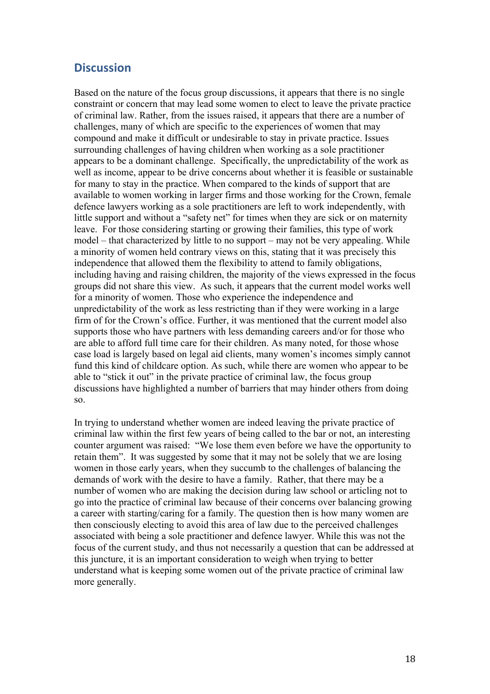## **Discussion**

Based on the nature of the focus group discussions, it appears that there is no single constraint or concern that may lead some women to elect to leave the private practice of criminal law. Rather, from the issues raised, it appears that there are a number of challenges, many of which are specific to the experiences of women that may compound and make it difficult or undesirable to stay in private practice. Issues surrounding challenges of having children when working as a sole practitioner appears to be a dominant challenge. Specifically, the unpredictability of the work as well as income, appear to be drive concerns about whether it is feasible or sustainable for many to stay in the practice. When compared to the kinds of support that are available to women working in larger firms and those working for the Crown, female defence lawyers working as a sole practitioners are left to work independently, with little support and without a "safety net" for times when they are sick or on maternity leave. For those considering starting or growing their families, this type of work model – that characterized by little to no support – may not be very appealing. While a minority of women held contrary views on this, stating that it was precisely this independence that allowed them the flexibility to attend to family obligations, including having and raising children, the majority of the views expressed in the focus groups did not share this view. As such, it appears that the current model works well for a minority of women. Those who experience the independence and unpredictability of the work as less restricting than if they were working in a large firm of for the Crown's office. Further, it was mentioned that the current model also supports those who have partners with less demanding careers and/or for those who are able to afford full time care for their children. As many noted, for those whose case load is largely based on legal aid clients, many women's incomes simply cannot fund this kind of childcare option. As such, while there are women who appear to be able to "stick it out" in the private practice of criminal law, the focus group discussions have highlighted a number of barriers that may hinder others from doing so.

In trying to understand whether women are indeed leaving the private practice of criminal law within the first few years of being called to the bar or not, an interesting counter argument was raised: "We lose them even before we have the opportunity to retain them". It was suggested by some that it may not be solely that we are losing women in those early years, when they succumb to the challenges of balancing the demands of work with the desire to have a family. Rather, that there may be a number of women who are making the decision during law school or articling not to go into the practice of criminal law because of their concerns over balancing growing a career with starting/caring for a family. The question then is how many women are then consciously electing to avoid this area of law due to the perceived challenges associated with being a sole practitioner and defence lawyer. While this was not the focus of the current study, and thus not necessarily a question that can be addressed at this juncture, it is an important consideration to weigh when trying to better understand what is keeping some women out of the private practice of criminal law more generally.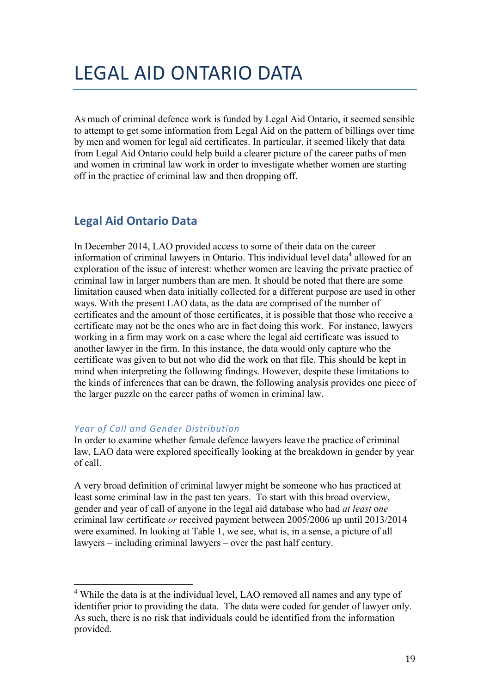## LEGAL AID ONTARIO DATA

As much of criminal defence work is funded by Legal Aid Ontario, it seemed sensible to attempt to get some information from Legal Aid on the pattern of billings over time by men and women for legal aid certificates. In particular, it seemed likely that data from Legal Aid Ontario could help build a clearer picture of the career paths of men and women in criminal law work in order to investigate whether women are starting off in the practice of criminal law and then dropping off.

## **Legal Aid Ontario Data**

In December 2014, LAO provided access to some of their data on the career information of criminal lawyers in Ontario. This individual level data<sup>4</sup> allowed for an exploration of the issue of interest: whether women are leaving the private practice of criminal law in larger numbers than are men. It should be noted that there are some limitation caused when data initially collected for a different purpose are used in other ways. With the present LAO data, as the data are comprised of the number of certificates and the amount of those certificates, it is possible that those who receive a certificate may not be the ones who are in fact doing this work. For instance, lawyers working in a firm may work on a case where the legal aid certificate was issued to another lawyer in the firm. In this instance, the data would only capture who the certificate was given to but not who did the work on that file. This should be kept in mind when interpreting the following findings. However, despite these limitations to the kinds of inferences that can be drawn, the following analysis provides one piece of the larger puzzle on the career paths of women in criminal law.

### *Year of Call and Gender Distribution*

In order to examine whether female defence lawyers leave the practice of criminal law, LAO data were explored specifically looking at the breakdown in gender by year of call.

A very broad definition of criminal lawyer might be someone who has practiced at least some criminal law in the past ten years. To start with this broad overview, gender and year of call of anyone in the legal aid database who had *at least* o*ne* criminal law certificate *or* received payment between 2005/2006 up until 2013/2014 were examined. In looking at Table 1, we see, what is, in a sense, a picture of all lawyers – including criminal lawyers – over the past half century.

<sup>&</sup>lt;sup>4</sup> While the data is at the individual level, LAO removed all names and any type of identifier prior to providing the data. The data were coded for gender of lawyer only. As such, there is no risk that individuals could be identified from the information provided.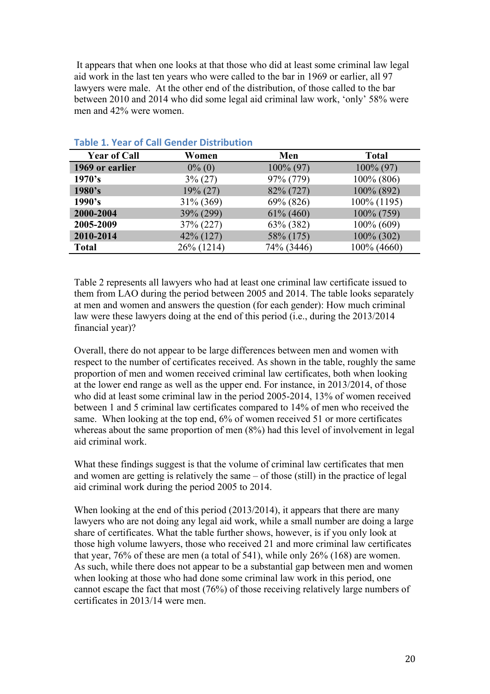It appears that when one looks at that those who did at least some criminal law legal aid work in the last ten years who were called to the bar in 1969 or earlier, all 97 lawyers were male. At the other end of the distribution, of those called to the bar between 2010 and 2014 who did some legal aid criminal law work, 'only' 58% were men and 42% were women.

| <b>Year of Call</b> | Women        | Men          | <b>Total</b>  |
|---------------------|--------------|--------------|---------------|
| 1969 or earlier     | $0\%$ (0)    | $100\% (97)$ | $100\% (97)$  |
| 1970's              | $3\% (27)$   | 97% (779)    | $100\%$ (806) |
| 1980's              | $19\% (27)$  | 82% (727)    | 100% (892)    |
| 1990's              | 31% (369)    | 69% (826)    | 100% (1195)   |
| 2000-2004           | 39% (299)    | $61\%$ (460) | $100\% (759)$ |
| 2005-2009           | 37% (227)    | 63% (382)    | $100\% (609)$ |
| 2010-2014           | $42\%$ (127) | 58% (175)    | $100\%$ (302) |
| <b>Total</b>        | 26% (1214)   | 74% (3446)   | 100% (4660)   |

#### **Table 1. Year of Call Gender Distribution**

Table 2 represents all lawyers who had at least one criminal law certificate issued to them from LAO during the period between 2005 and 2014. The table looks separately at men and women and answers the question (for each gender): How much criminal law were these lawyers doing at the end of this period (i.e., during the 2013/2014 financial year)?

Overall, there do not appear to be large differences between men and women with respect to the number of certificates received. As shown in the table, roughly the same proportion of men and women received criminal law certificates, both when looking at the lower end range as well as the upper end. For instance, in 2013/2014, of those who did at least some criminal law in the period 2005-2014, 13% of women received between 1 and 5 criminal law certificates compared to 14% of men who received the same. When looking at the top end, 6% of women received 51 or more certificates whereas about the same proportion of men  $(8%)$  had this level of involvement in legal aid criminal work.

What these findings suggest is that the volume of criminal law certificates that men and women are getting is relatively the same – of those (still) in the practice of legal aid criminal work during the period 2005 to 2014.

When looking at the end of this period (2013/2014), it appears that there are many lawyers who are not doing any legal aid work, while a small number are doing a large share of certificates. What the table further shows, however, is if you only look at those high volume lawyers, those who received 21 and more criminal law certificates that year, 76% of these are men (a total of 541), while only 26% (168) are women. As such, while there does not appear to be a substantial gap between men and women when looking at those who had done some criminal law work in this period, one cannot escape the fact that most (76%) of those receiving relatively large numbers of certificates in 2013/14 were men.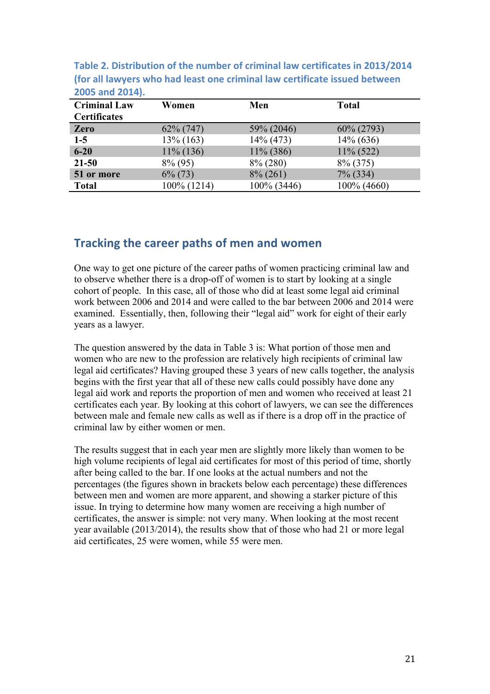| <b>Criminal Law</b><br><b>Certificates</b> | Women        | Men          | <b>Total</b> |
|--------------------------------------------|--------------|--------------|--------------|
| Zero                                       | $62\% (747)$ | 59% (2046)   | 60% (2793)   |
| $1-5$                                      | $13\%$ (163) | $14\%$ (473) | $14\% (636)$ |
| $6 - 20$                                   | $11\%$ (136) | $11\%$ (386) | $11\%$ (522) |
| $21 - 50$                                  | $8\%$ (95)   | $8\% (280)$  | 8% (375)     |
| 51 or more                                 | $6\%$ (73)   | $8\% (261)$  | 7% (334)     |
| <b>Total</b>                               | 100% (1214)  | 100% (3446)  | 100% (4660)  |

Table 2. Distribution of the number of criminal law certificates in 2013/2014 **(for all lawyers who had least one criminal law certificate issued between 2005 and 2014).**

## **Tracking the career paths of men and women**

One way to get one picture of the career paths of women practicing criminal law and to observe whether there is a drop-off of women is to start by looking at a single cohort of people. In this case, all of those who did at least some legal aid criminal work between 2006 and 2014 and were called to the bar between 2006 and 2014 were examined. Essentially, then, following their "legal aid" work for eight of their early years as a lawyer.

The question answered by the data in Table 3 is: What portion of those men and women who are new to the profession are relatively high recipients of criminal law legal aid certificates? Having grouped these 3 years of new calls together, the analysis begins with the first year that all of these new calls could possibly have done any legal aid work and reports the proportion of men and women who received at least 21 certificates each year. By looking at this cohort of lawyers, we can see the differences between male and female new calls as well as if there is a drop off in the practice of criminal law by either women or men.

The results suggest that in each year men are slightly more likely than women to be high volume recipients of legal aid certificates for most of this period of time, shortly after being called to the bar. If one looks at the actual numbers and not the percentages (the figures shown in brackets below each percentage) these differences between men and women are more apparent, and showing a starker picture of this issue. In trying to determine how many women are receiving a high number of certificates, the answer is simple: not very many. When looking at the most recent year available (2013/2014), the results show that of those who had 21 or more legal aid certificates, 25 were women, while 55 were men.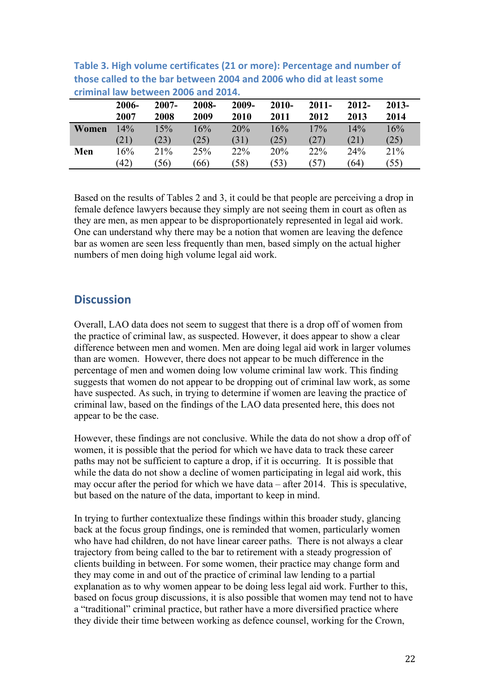| чинист<br><b>IQW DELWEEII ZUUU QIIU ZUIT.</b> |        |          |       |       |            |          |          |         |  |  |
|-----------------------------------------------|--------|----------|-------|-------|------------|----------|----------|---------|--|--|
|                                               | 2006-  | $2007 -$ | 2008- | 2009- | $2010 -$   | $2011 -$ | $2012 -$ | $2013-$ |  |  |
|                                               | 2007   | 2008     | 2009  | 2010  | 2011       | 2012     | 2013     | 2014    |  |  |
| Women                                         | $14\%$ | 15%      | 16%   | 20%   | 16%        | 17%      | 14%      | 16%     |  |  |
|                                               | (21)   | (23)     | (25)  | (31)  | (25)       | (27)     | (21)     | (25)    |  |  |
| Men                                           | 16%    | 21%      | 25%   | 22%   | <b>20%</b> | 22%      | 24%      | 21%     |  |  |
|                                               | (42)   | (56)     | (66)  | (58)  | (53)       | (57)     | (64)     | (55)    |  |  |

Table 3. High volume certificates (21 or more): Percentage and number of **those called to the bar between 2004 and 2006 who did at least some criminal law between 2006 and 2014.**

Based on the results of Tables 2 and 3, it could be that people are perceiving a drop in female defence lawyers because they simply are not seeing them in court as often as they are men, as men appear to be disproportionately represented in legal aid work. One can understand why there may be a notion that women are leaving the defence bar as women are seen less frequently than men, based simply on the actual higher numbers of men doing high volume legal aid work.

## **Discussion**

Overall, LAO data does not seem to suggest that there is a drop off of women from the practice of criminal law, as suspected. However, it does appear to show a clear difference between men and women. Men are doing legal aid work in larger volumes than are women. However, there does not appear to be much difference in the percentage of men and women doing low volume criminal law work. This finding suggests that women do not appear to be dropping out of criminal law work, as some have suspected. As such, in trying to determine if women are leaving the practice of criminal law, based on the findings of the LAO data presented here, this does not appear to be the case.

However, these findings are not conclusive. While the data do not show a drop off of women, it is possible that the period for which we have data to track these career paths may not be sufficient to capture a drop, if it is occurring. It is possible that while the data do not show a decline of women participating in legal aid work, this may occur after the period for which we have data – after 2014. This is speculative, but based on the nature of the data, important to keep in mind.

In trying to further contextualize these findings within this broader study, glancing back at the focus group findings, one is reminded that women, particularly women who have had children, do not have linear career paths. There is not always a clear trajectory from being called to the bar to retirement with a steady progression of clients building in between. For some women, their practice may change form and they may come in and out of the practice of criminal law lending to a partial explanation as to why women appear to be doing less legal aid work. Further to this, based on focus group discussions, it is also possible that women may tend not to have a "traditional" criminal practice, but rather have a more diversified practice where they divide their time between working as defence counsel, working for the Crown,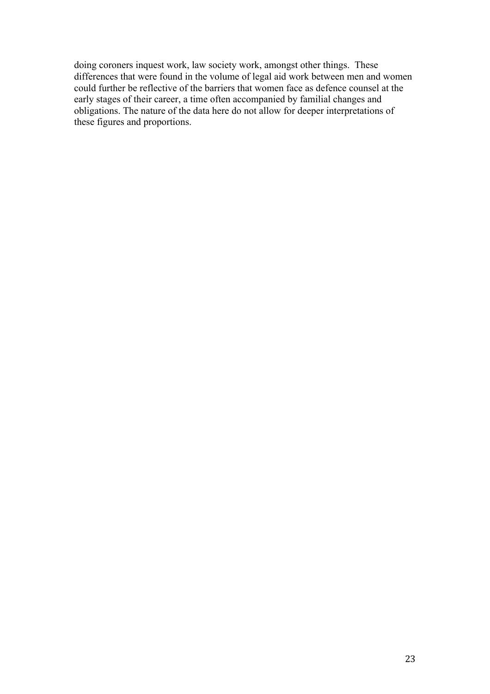doing coroners inquest work, law society work, amongst other things. These differences that were found in the volume of legal aid work between men and women could further be reflective of the barriers that women face as defence counsel at the early stages of their career, a time often accompanied by familial changes and obligations. The nature of the data here do not allow for deeper interpretations of these figures and proportions.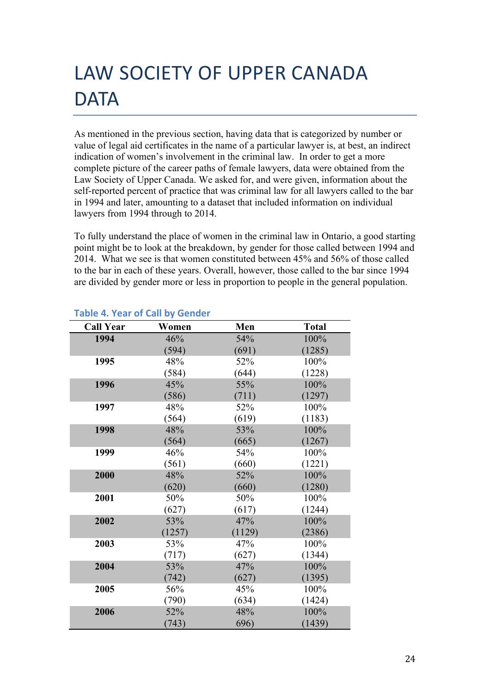# LAW SOCIETY OF UPPER CANADA **DATA**

As mentioned in the previous section, having data that is categorized by number or value of legal aid certificates in the name of a particular lawyer is, at best, an indirect indication of women's involvement in the criminal law. In order to get a more complete picture of the career paths of female lawyers, data were obtained from the Law Society of Upper Canada. We asked for, and were given, information about the self-reported percent of practice that was criminal law for all lawyers called to the bar in 1994 and later, amounting to a dataset that included information on individual lawyers from 1994 through to 2014.

To fully understand the place of women in the criminal law in Ontario, a good starting point might be to look at the breakdown, by gender for those called between 1994 and 2014. What we see is that women constituted between 45% and 56% of those called to the bar in each of these years. Overall, however, those called to the bar since 1994 are divided by gender more or less in proportion to people in the general population.

| <b>Call Year</b> | Women  | Men    | <b>Total</b> |
|------------------|--------|--------|--------------|
| 1994             | 46%    | 54%    | 100%         |
|                  | (594)  | (691)  | (1285)       |
| 1995             | 48%    | 52%    | 100%         |
|                  | (584)  | (644)  | (1228)       |
| 1996             | 45%    | 55%    | 100%         |
|                  | (586)  | (711)  | (1297)       |
| 1997             | 48%    | 52%    | 100%         |
|                  | (564)  | (619)  | (1183)       |
| 1998             | 48%    | 53%    | 100%         |
|                  | (564)  | (665)  | (1267)       |
| 1999             | 46%    | 54%    | 100%         |
|                  | (561)  | (660)  | (1221)       |
| 2000             | 48%    | 52%    | 100%         |
|                  | (620)  | (660)  | (1280)       |
| 2001             | 50%    | 50%    | 100%         |
|                  | (627)  | (617)  | (1244)       |
| 2002             | 53%    | 47%    | 100%         |
|                  | (1257) | (1129) | (2386)       |
| 2003             | 53%    | 47%    | 100%         |
|                  | (717)  | (627)  | (1344)       |
| 2004             | 53%    | 47%    | 100%         |
|                  | (742)  | (627)  | (1395)       |
| 2005             | 56%    | 45%    | 100%         |
|                  | (790)  | (634)  | (1424)       |
| 2006             | 52%    | 48%    | 100%         |
|                  | (743)  | 696)   | (1439)       |

## **Table 4. Year of Call by Gender**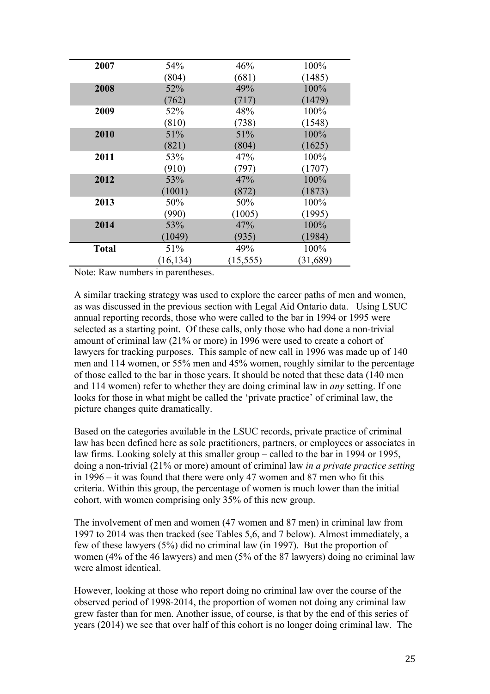| 2007         | 54%       | 46%       | 100%     |
|--------------|-----------|-----------|----------|
|              | (804)     | (681)     | (1485)   |
| 2008         | 52%       | 49%       | 100%     |
|              | (762)     | (717)     | (1479)   |
| 2009         | 52%       | 48%       | 100%     |
|              | (810)     | (738)     | (1548)   |
| 2010         | 51%       | 51%       | 100%     |
|              | (821)     | (804)     | (1625)   |
| 2011         | 53%       | 47%       | 100%     |
|              | (910)     | (797)     | (1707)   |
| 2012         | 53%       | 47%       | 100%     |
|              | (1001)    | (872)     | (1873)   |
| 2013         | 50%       | 50%       | 100%     |
|              | (990)     | (1005)    | (1995)   |
| 2014         | 53%       | 47%       | 100%     |
|              | (1049)    | (935)     | (1984)   |
| <b>Total</b> | 51%       | 49%       | 100%     |
|              | (16, 134) | (15, 555) | (31,689) |

Note: Raw numbers in parentheses.

A similar tracking strategy was used to explore the career paths of men and women, as was discussed in the previous section with Legal Aid Ontario data. Using LSUC annual reporting records, those who were called to the bar in 1994 or 1995 were selected as a starting point. Of these calls, only those who had done a non-trivial amount of criminal law (21% or more) in 1996 were used to create a cohort of lawyers for tracking purposes. This sample of new call in 1996 was made up of 140 men and 114 women, or 55% men and 45% women, roughly similar to the percentage of those called to the bar in those years. It should be noted that these data (140 men and 114 women) refer to whether they are doing criminal law in *any* setting. If one looks for those in what might be called the 'private practice' of criminal law, the picture changes quite dramatically.

Based on the categories available in the LSUC records, private practice of criminal law has been defined here as sole practitioners, partners, or employees or associates in law firms. Looking solely at this smaller group – called to the bar in 1994 or 1995, doing a non-trivial (21% or more) amount of criminal law *in a private practice setting*  in 1996 – it was found that there were only 47 women and 87 men who fit this criteria. Within this group, the percentage of women is much lower than the initial cohort, with women comprising only 35% of this new group.

The involvement of men and women (47 women and 87 men) in criminal law from 1997 to 2014 was then tracked (see Tables 5,6, and 7 below). Almost immediately, a few of these lawyers (5%) did no criminal law (in 1997). But the proportion of women (4% of the 46 lawyers) and men (5% of the 87 lawyers) doing no criminal law were almost identical.

However, looking at those who report doing no criminal law over the course of the observed period of 1998-2014, the proportion of women not doing any criminal law grew faster than for men. Another issue, of course, is that by the end of this series of years (2014) we see that over half of this cohort is no longer doing criminal law. The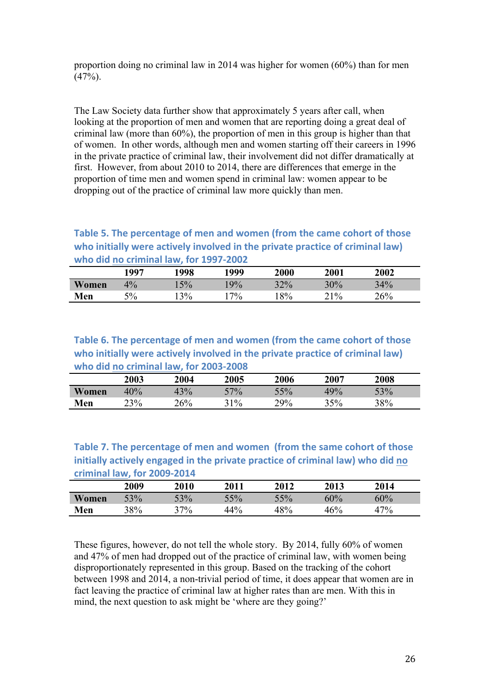proportion doing no criminal law in 2014 was higher for women (60%) than for men  $(47%).$ 

The Law Society data further show that approximately 5 years after call, when looking at the proportion of men and women that are reporting doing a great deal of criminal law (more than 60%), the proportion of men in this group is higher than that of women. In other words, although men and women starting off their careers in 1996 in the private practice of criminal law, their involvement did not differ dramatically at first. However, from about 2010 to 2014, there are differences that emerge in the proportion of time men and women spend in criminal law: women appear to be dropping out of the practice of criminal law more quickly than men.

### **Table 5. The percentage of men and women (from the came cohort of those** who initially were actively involved in the private practice of criminal law) who did no criminal law, for 1997-2002

|       | 997   | 1998  | 1999  | 2000 | <b>2001</b> | 2002 |  |
|-------|-------|-------|-------|------|-------------|------|--|
| Women | $4\%$ | $5\%$ | 9%    | 32%  | 30%         | 34%  |  |
| Men   | 5%    | 3%    | $7\%$ | 8%   | $21\%$      | 26%  |  |

## Table 6. The percentage of men and women (from the came cohort of those who initially were actively involved in the private practice of criminal law) who did no criminal law, for 2003-2008

|       | 2003 | 2004 | 2005   | 2006 | 2007 | 2008 |  |
|-------|------|------|--------|------|------|------|--|
| Women | 40%  | 43%  | $-7\%$ | 55%  | 49%  | 53%  |  |
| Men   | 23%  | 26%  | $1\%$  | 29%  | 35%  | 38%  |  |

**Table 7. The percentage of men and women (from the same cohort of those** initially actively engaged in the private practice of criminal law) who did no **criminal law, for 2009-2014**

|       | 2009 | <b>2010</b> | 2011 | 2012 | 2013 | 2014  |  |
|-------|------|-------------|------|------|------|-------|--|
| Women | 53%  | $-3\%$      | 5%   | 55%  | 60%  | 60%   |  |
| Men   | 38%  | $37\%$      | 44%  | 48%  | 46%  | $7\%$ |  |

These figures, however, do not tell the whole story. By 2014, fully 60% of women and 47% of men had dropped out of the practice of criminal law, with women being disproportionately represented in this group. Based on the tracking of the cohort between 1998 and 2014, a non-trivial period of time, it does appear that women are in fact leaving the practice of criminal law at higher rates than are men. With this in mind, the next question to ask might be 'where are they going?'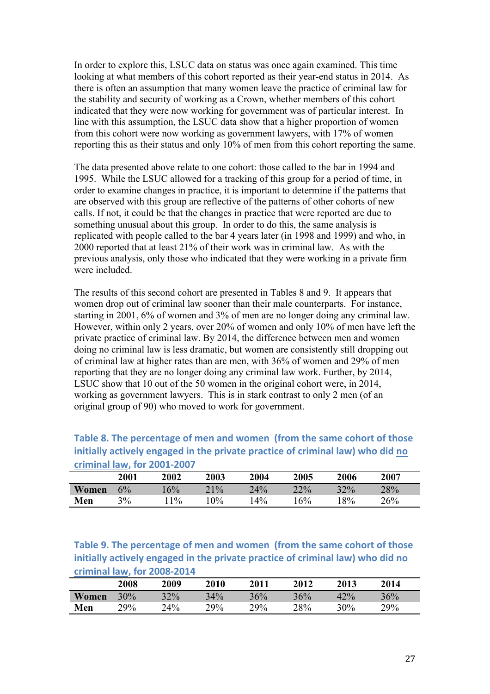In order to explore this, LSUC data on status was once again examined. This time looking at what members of this cohort reported as their year-end status in 2014. As there is often an assumption that many women leave the practice of criminal law for the stability and security of working as a Crown, whether members of this cohort indicated that they were now working for government was of particular interest. In line with this assumption, the LSUC data show that a higher proportion of women from this cohort were now working as government lawyers, with 17% of women reporting this as their status and only 10% of men from this cohort reporting the same.

The data presented above relate to one cohort: those called to the bar in 1994 and 1995. While the LSUC allowed for a tracking of this group for a period of time, in order to examine changes in practice, it is important to determine if the patterns that are observed with this group are reflective of the patterns of other cohorts of new calls. If not, it could be that the changes in practice that were reported are due to something unusual about this group. In order to do this, the same analysis is replicated with people called to the bar 4 years later (in 1998 and 1999) and who, in 2000 reported that at least 21% of their work was in criminal law. As with the previous analysis, only those who indicated that they were working in a private firm were included.

The results of this second cohort are presented in Tables 8 and 9. It appears that women drop out of criminal law sooner than their male counterparts. For instance, starting in 2001, 6% of women and 3% of men are no longer doing any criminal law. However, within only 2 years, over 20% of women and only 10% of men have left the private practice of criminal law. By 2014, the difference between men and women doing no criminal law is less dramatic, but women are consistently still dropping out of criminal law at higher rates than are men, with 36% of women and 29% of men reporting that they are no longer doing any criminal law work. Further, by 2014, LSUC show that 10 out of the 50 women in the original cohort were, in 2014, working as government lawyers. This is in stark contrast to only 2 men (of an original group of 90) who moved to work for government.

**Table 8. The percentage of men and women (from the same cohort of those initially actively engaged in the private practice of criminal law) who did no criminal law, for 2001-2007**

|       | 2001 | 2002  | 2003  | 2004  | 2005 | 2006 | 2007 |
|-------|------|-------|-------|-------|------|------|------|
| Women | 6%   | 6%    | 21%   | 24%   | 22%  | 32%  | 28%  |
| Men   | 3%   | $1\%$ | $0\%$ | $4\%$ | 6%   | 8%   | 26%  |

**Table 9. The percentage of men and women (from the same cohort of those initially actively engaged in the private practice of criminal law) who did no criminal law, for 2008-2014**

|       | <b>2008</b> | 2009   | 2010   | 2011   | 2012 | 2013  | 2014 |  |
|-------|-------------|--------|--------|--------|------|-------|------|--|
| Women | 30%         | 32%    | 34%    | 36%    | 36%  | $2\%$ | 36%  |  |
| Men   | $29\%$      | $24\%$ | $29\%$ | $29\%$ | 28%  | 30%   | 29%  |  |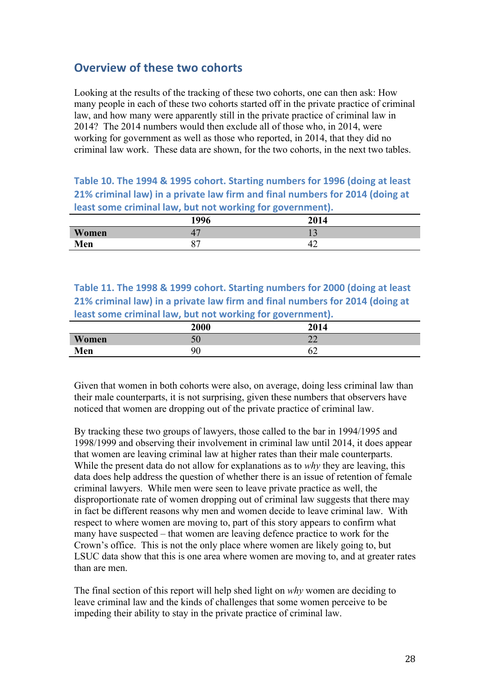## **Overview of these two cohorts**

Looking at the results of the tracking of these two cohorts, one can then ask: How many people in each of these two cohorts started off in the private practice of criminal law, and how many were apparently still in the private practice of criminal law in 2014? The 2014 numbers would then exclude all of those who, in 2014, were working for government as well as those who reported, in 2014, that they did no criminal law work. These data are shown, for the two cohorts, in the next two tables.

**Table 10. The 1994 & 1995 cohort. Starting numbers for 1996 (doing at least 21% criminal law) in a private law firm and final numbers for 2014 (doing at** least some criminal law, but not working for government).

|              | 1996          | 2014 |
|--------------|---------------|------|
| <b>Women</b> | $-4.$         | ⊥ ~  |
| Men          | $\Omega$<br>O | ₩    |

**Table 11. The 1998 & 1999 cohort. Starting numbers for 2000 (doing at least 21% criminal law) in a private law firm and final numbers for 2014 (doing at least some criminal law, but not working for government).** 

|              | $\sim$<br>$\sim$<br>2000 | 2014                               |
|--------------|--------------------------|------------------------------------|
| <b>Women</b> | 50                       | $\sim$<br>$\overline{\phantom{m}}$ |
| Men          | 90                       | ◡∠                                 |

Given that women in both cohorts were also, on average, doing less criminal law than their male counterparts, it is not surprising, given these numbers that observers have noticed that women are dropping out of the private practice of criminal law.

By tracking these two groups of lawyers, those called to the bar in 1994/1995 and 1998/1999 and observing their involvement in criminal law until 2014, it does appear that women are leaving criminal law at higher rates than their male counterparts. While the present data do not allow for explanations as to *why* they are leaving, this data does help address the question of whether there is an issue of retention of female criminal lawyers. While men were seen to leave private practice as well, the disproportionate rate of women dropping out of criminal law suggests that there may in fact be different reasons why men and women decide to leave criminal law. With respect to where women are moving to, part of this story appears to confirm what many have suspected – that women are leaving defence practice to work for the Crown's office. This is not the only place where women are likely going to, but LSUC data show that this is one area where women are moving to, and at greater rates than are men.

The final section of this report will help shed light on *why* women are deciding to leave criminal law and the kinds of challenges that some women perceive to be impeding their ability to stay in the private practice of criminal law.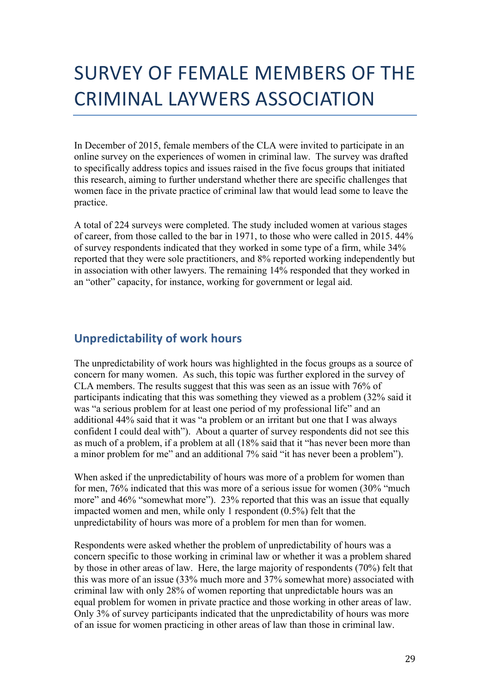# SURVEY OF FEMALE MEMBERS OF THE CRIMINAL LAYWERS ASSOCIATION

In December of 2015, female members of the CLA were invited to participate in an online survey on the experiences of women in criminal law. The survey was drafted to specifically address topics and issues raised in the five focus groups that initiated this research, aiming to further understand whether there are specific challenges that women face in the private practice of criminal law that would lead some to leave the practice.

A total of 224 surveys were completed. The study included women at various stages of career, from those called to the bar in 1971, to those who were called in 2015. 44% of survey respondents indicated that they worked in some type of a firm, while 34% reported that they were sole practitioners, and 8% reported working independently but in association with other lawyers. The remaining 14% responded that they worked in an "other" capacity, for instance, working for government or legal aid.

## **Unpredictability of work hours**

The unpredictability of work hours was highlighted in the focus groups as a source of concern for many women. As such, this topic was further explored in the survey of CLA members. The results suggest that this was seen as an issue with 76% of participants indicating that this was something they viewed as a problem (32% said it was "a serious problem for at least one period of my professional life" and an additional 44% said that it was "a problem or an irritant but one that I was always confident I could deal with"). About a quarter of survey respondents did not see this as much of a problem, if a problem at all (18% said that it "has never been more than a minor problem for me" and an additional 7% said "it has never been a problem").

When asked if the unpredictability of hours was more of a problem for women than for men, 76% indicated that this was more of a serious issue for women (30% "much more" and 46% "somewhat more"). 23% reported that this was an issue that equally impacted women and men, while only 1 respondent (0.5%) felt that the unpredictability of hours was more of a problem for men than for women.

Respondents were asked whether the problem of unpredictability of hours was a concern specific to those working in criminal law or whether it was a problem shared by those in other areas of law. Here, the large majority of respondents (70%) felt that this was more of an issue (33% much more and 37% somewhat more) associated with criminal law with only 28% of women reporting that unpredictable hours was an equal problem for women in private practice and those working in other areas of law. Only 3% of survey participants indicated that the unpredictability of hours was more of an issue for women practicing in other areas of law than those in criminal law.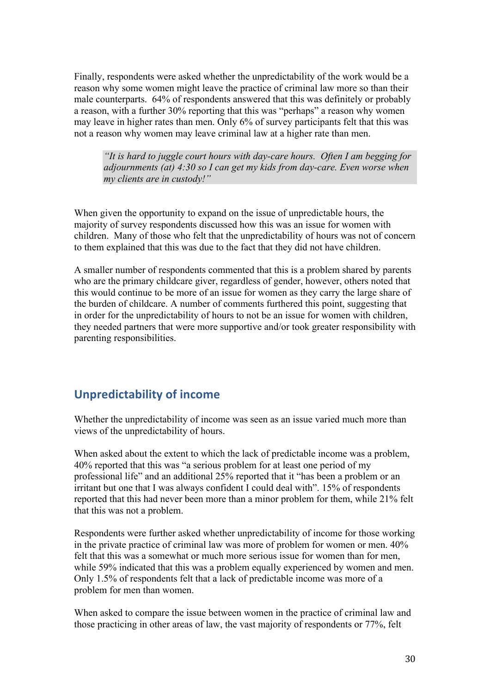Finally, respondents were asked whether the unpredictability of the work would be a reason why some women might leave the practice of criminal law more so than their male counterparts. 64% of respondents answered that this was definitely or probably a reason, with a further 30% reporting that this was "perhaps" a reason why women may leave in higher rates than men. Only 6% of survey participants felt that this was not a reason why women may leave criminal law at a higher rate than men.

*"It is hard to juggle court hours with day-care hours. Often I am begging for adjournments (at) 4:30 so I can get my kids from day-care. Even worse when my clients are in custody!"*

When given the opportunity to expand on the issue of unpredictable hours, the majority of survey respondents discussed how this was an issue for women with children. Many of those who felt that the unpredictability of hours was not of concern to them explained that this was due to the fact that they did not have children.

A smaller number of respondents commented that this is a problem shared by parents who are the primary childcare giver, regardless of gender, however, others noted that this would continue to be more of an issue for women as they carry the large share of the burden of childcare. A number of comments furthered this point, suggesting that in order for the unpredictability of hours to not be an issue for women with children, they needed partners that were more supportive and/or took greater responsibility with parenting responsibilities.

## **Unpredictability of income**

Whether the unpredictability of income was seen as an issue varied much more than views of the unpredictability of hours.

When asked about the extent to which the lack of predictable income was a problem, 40% reported that this was "a serious problem for at least one period of my professional life" and an additional 25% reported that it "has been a problem or an irritant but one that I was always confident I could deal with". 15% of respondents reported that this had never been more than a minor problem for them, while 21% felt that this was not a problem.

Respondents were further asked whether unpredictability of income for those working in the private practice of criminal law was more of problem for women or men. 40% felt that this was a somewhat or much more serious issue for women than for men, while 59% indicated that this was a problem equally experienced by women and men. Only 1.5% of respondents felt that a lack of predictable income was more of a problem for men than women.

When asked to compare the issue between women in the practice of criminal law and those practicing in other areas of law, the vast majority of respondents or 77%, felt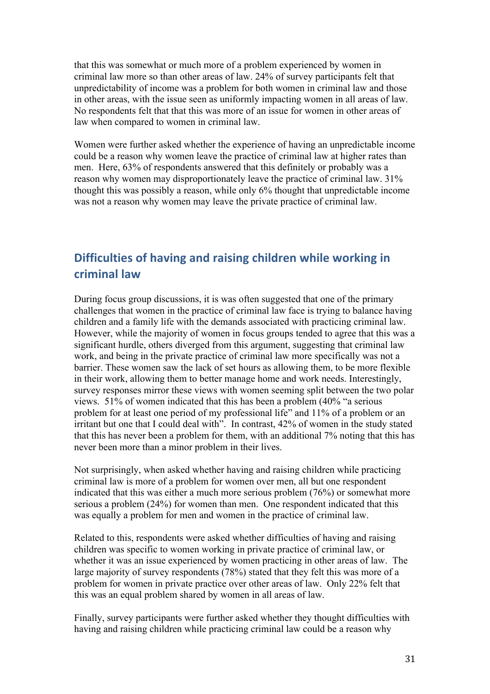that this was somewhat or much more of a problem experienced by women in criminal law more so than other areas of law. 24% of survey participants felt that unpredictability of income was a problem for both women in criminal law and those in other areas, with the issue seen as uniformly impacting women in all areas of law. No respondents felt that that this was more of an issue for women in other areas of law when compared to women in criminal law.

Women were further asked whether the experience of having an unpredictable income could be a reason why women leave the practice of criminal law at higher rates than men. Here, 63% of respondents answered that this definitely or probably was a reason why women may disproportionately leave the practice of criminal law. 31% thought this was possibly a reason, while only 6% thought that unpredictable income was not a reason why women may leave the private practice of criminal law.

## **Difficulties of having and raising children while working in criminal law**

During focus group discussions, it is was often suggested that one of the primary challenges that women in the practice of criminal law face is trying to balance having children and a family life with the demands associated with practicing criminal law. However, while the majority of women in focus groups tended to agree that this was a significant hurdle, others diverged from this argument, suggesting that criminal law work, and being in the private practice of criminal law more specifically was not a barrier. These women saw the lack of set hours as allowing them, to be more flexible in their work, allowing them to better manage home and work needs. Interestingly, survey responses mirror these views with women seeming split between the two polar views. 51% of women indicated that this has been a problem (40% "a serious problem for at least one period of my professional life" and 11% of a problem or an irritant but one that I could deal with". In contrast, 42% of women in the study stated that this has never been a problem for them, with an additional 7% noting that this has never been more than a minor problem in their lives.

Not surprisingly, when asked whether having and raising children while practicing criminal law is more of a problem for women over men, all but one respondent indicated that this was either a much more serious problem (76%) or somewhat more serious a problem (24%) for women than men. One respondent indicated that this was equally a problem for men and women in the practice of criminal law.

Related to this, respondents were asked whether difficulties of having and raising children was specific to women working in private practice of criminal law, or whether it was an issue experienced by women practicing in other areas of law. The large majority of survey respondents (78%) stated that they felt this was more of a problem for women in private practice over other areas of law. Only 22% felt that this was an equal problem shared by women in all areas of law.

Finally, survey participants were further asked whether they thought difficulties with having and raising children while practicing criminal law could be a reason why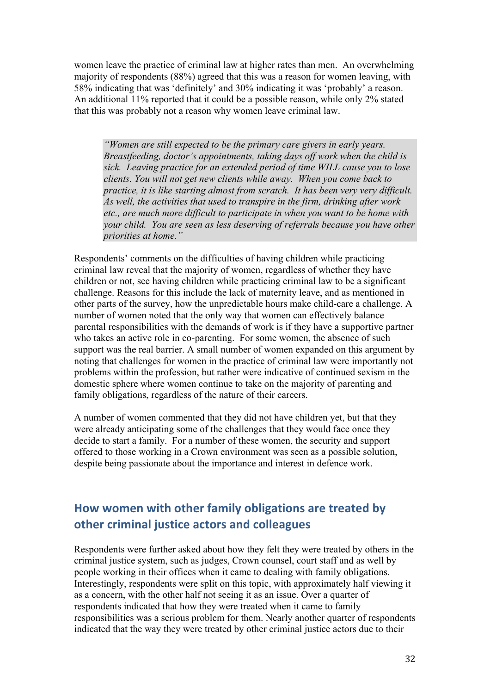women leave the practice of criminal law at higher rates than men. An overwhelming majority of respondents (88%) agreed that this was a reason for women leaving, with 58% indicating that was 'definitely' and 30% indicating it was 'probably' a reason. An additional 11% reported that it could be a possible reason, while only 2% stated that this was probably not a reason why women leave criminal law.

*"Women are still expected to be the primary care givers in early years. Breastfeeding, doctor's appointments, taking days off work when the child is sick. Leaving practice for an extended period of time WILL cause you to lose clients. You will not get new clients while away. When you come back to practice, it is like starting almost from scratch. It has been very very difficult. As well, the activities that used to transpire in the firm, drinking after work etc., are much more difficult to participate in when you want to be home with your child. You are seen as less deserving of referrals because you have other priorities at home."*

Respondents' comments on the difficulties of having children while practicing criminal law reveal that the majority of women, regardless of whether they have children or not, see having children while practicing criminal law to be a significant challenge. Reasons for this include the lack of maternity leave, and as mentioned in other parts of the survey, how the unpredictable hours make child-care a challenge. A number of women noted that the only way that women can effectively balance parental responsibilities with the demands of work is if they have a supportive partner who takes an active role in co-parenting. For some women, the absence of such support was the real barrier. A small number of women expanded on this argument by noting that challenges for women in the practice of criminal law were importantly not problems within the profession, but rather were indicative of continued sexism in the domestic sphere where women continue to take on the majority of parenting and family obligations, regardless of the nature of their careers.

A number of women commented that they did not have children yet, but that they were already anticipating some of the challenges that they would face once they decide to start a family. For a number of these women, the security and support offered to those working in a Crown environment was seen as a possible solution, despite being passionate about the importance and interest in defence work.

## How women with other family obligations are treated by **other criminal justice actors and colleagues**

Respondents were further asked about how they felt they were treated by others in the criminal justice system, such as judges, Crown counsel, court staff and as well by people working in their offices when it came to dealing with family obligations. Interestingly, respondents were split on this topic, with approximately half viewing it as a concern, with the other half not seeing it as an issue. Over a quarter of respondents indicated that how they were treated when it came to family responsibilities was a serious problem for them. Nearly another quarter of respondents indicated that the way they were treated by other criminal justice actors due to their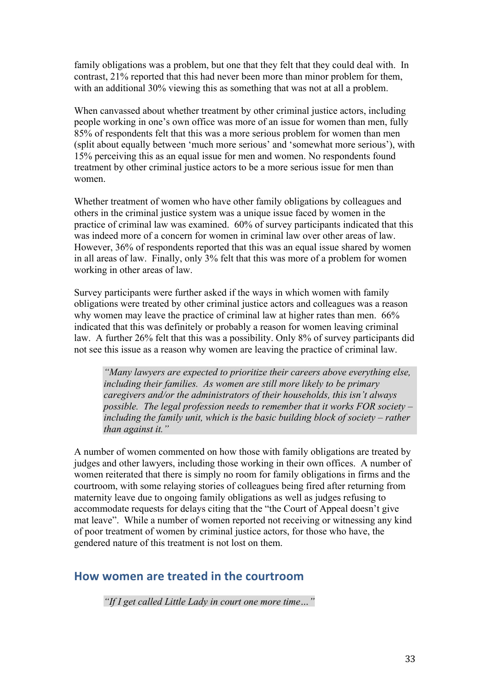family obligations was a problem, but one that they felt that they could deal with. In contrast, 21% reported that this had never been more than minor problem for them, with an additional 30% viewing this as something that was not at all a problem.

When canvassed about whether treatment by other criminal justice actors, including people working in one's own office was more of an issue for women than men, fully 85% of respondents felt that this was a more serious problem for women than men (split about equally between 'much more serious' and 'somewhat more serious'), with 15% perceiving this as an equal issue for men and women. No respondents found treatment by other criminal justice actors to be a more serious issue for men than women.

Whether treatment of women who have other family obligations by colleagues and others in the criminal justice system was a unique issue faced by women in the practice of criminal law was examined. 60% of survey participants indicated that this was indeed more of a concern for women in criminal law over other areas of law. However, 36% of respondents reported that this was an equal issue shared by women in all areas of law. Finally, only 3% felt that this was more of a problem for women working in other areas of law.

Survey participants were further asked if the ways in which women with family obligations were treated by other criminal justice actors and colleagues was a reason why women may leave the practice of criminal law at higher rates than men. 66% indicated that this was definitely or probably a reason for women leaving criminal law. A further 26% felt that this was a possibility. Only 8% of survey participants did not see this issue as a reason why women are leaving the practice of criminal law.

*"Many lawyers are expected to prioritize their careers above everything else, including their families. As women are still more likely to be primary caregivers and/or the administrators of their households, this isn't always possible. The legal profession needs to remember that it works FOR society – including the family unit, which is the basic building block of society – rather than against it."*

A number of women commented on how those with family obligations are treated by judges and other lawyers, including those working in their own offices. A number of women reiterated that there is simply no room for family obligations in firms and the courtroom, with some relaying stories of colleagues being fired after returning from maternity leave due to ongoing family obligations as well as judges refusing to accommodate requests for delays citing that the "the Court of Appeal doesn't give mat leave". While a number of women reported not receiving or witnessing any kind of poor treatment of women by criminal justice actors, for those who have, the gendered nature of this treatment is not lost on them.

## **How women are treated in the courtroom**

*"If I get called Little Lady in court one more time…"*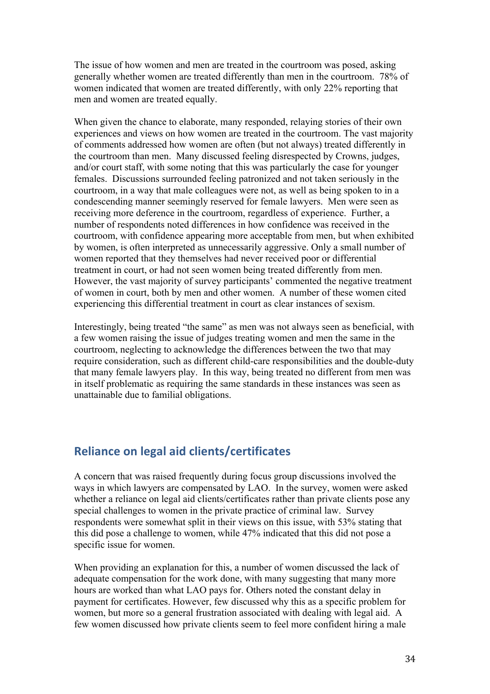The issue of how women and men are treated in the courtroom was posed, asking generally whether women are treated differently than men in the courtroom. 78% of women indicated that women are treated differently, with only 22% reporting that men and women are treated equally.

When given the chance to elaborate, many responded, relaying stories of their own experiences and views on how women are treated in the courtroom. The vast majority of comments addressed how women are often (but not always) treated differently in the courtroom than men. Many discussed feeling disrespected by Crowns, judges, and/or court staff, with some noting that this was particularly the case for younger females. Discussions surrounded feeling patronized and not taken seriously in the courtroom, in a way that male colleagues were not, as well as being spoken to in a condescending manner seemingly reserved for female lawyers. Men were seen as receiving more deference in the courtroom, regardless of experience. Further, a number of respondents noted differences in how confidence was received in the courtroom, with confidence appearing more acceptable from men, but when exhibited by women, is often interpreted as unnecessarily aggressive. Only a small number of women reported that they themselves had never received poor or differential treatment in court, or had not seen women being treated differently from men. However, the vast majority of survey participants' commented the negative treatment of women in court, both by men and other women. A number of these women cited experiencing this differential treatment in court as clear instances of sexism.

Interestingly, being treated "the same" as men was not always seen as beneficial, with a few women raising the issue of judges treating women and men the same in the courtroom, neglecting to acknowledge the differences between the two that may require consideration, such as different child-care responsibilities and the double-duty that many female lawyers play. In this way, being treated no different from men was in itself problematic as requiring the same standards in these instances was seen as unattainable due to familial obligations.

## **Reliance on legal aid clients/certificates**

A concern that was raised frequently during focus group discussions involved the ways in which lawyers are compensated by LAO. In the survey, women were asked whether a reliance on legal aid clients/certificates rather than private clients pose any special challenges to women in the private practice of criminal law. Survey respondents were somewhat split in their views on this issue, with 53% stating that this did pose a challenge to women, while 47% indicated that this did not pose a specific issue for women.

When providing an explanation for this, a number of women discussed the lack of adequate compensation for the work done, with many suggesting that many more hours are worked than what LAO pays for. Others noted the constant delay in payment for certificates. However, few discussed why this as a specific problem for women, but more so a general frustration associated with dealing with legal aid. A few women discussed how private clients seem to feel more confident hiring a male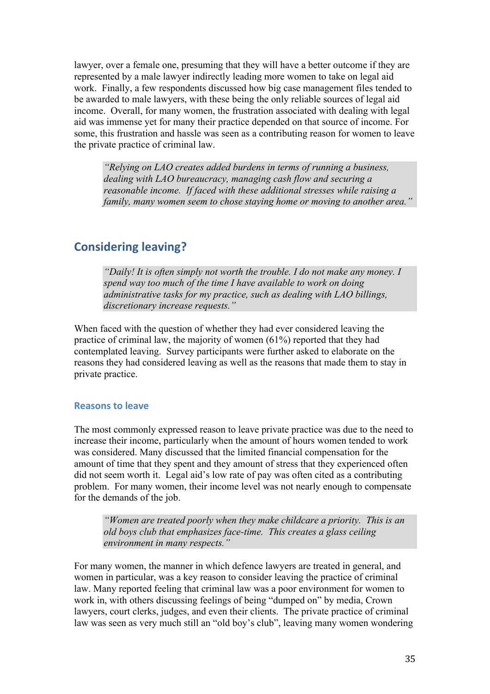lawyer, over a female one, presuming that they will have a better outcome if they are represented by a male lawyer indirectly leading more women to take on legal aid work. Finally, a few respondents discussed how big case management files tended to be awarded to male lawyers, with these being the only reliable sources of legal aid income. Overall, for many women, the frustration associated with dealing with legal aid was immense yet for many their practice depended on that source of income. For some, this frustration and hassle was seen as a contributing reason for women to leave the private practice of criminal law.

*"Relying on LAO creates added burdens in terms of running a business, dealing with LAO bureaucracy, managing cash flow and securing a reasonable income. If faced with these additional stresses while raising a family, many women seem to chose staying home or moving to another area."*

## **Considering leaving?**

*"Daily! It is often simply not worth the trouble. I do not make any money. I spend way too much of the time I have available to work on doing administrative tasks for my practice, such as dealing with LAO billings, discretionary increase requests."*

When faced with the question of whether they had ever considered leaving the practice of criminal law, the majority of women (61%) reported that they had contemplated leaving. Survey participants were further asked to elaborate on the reasons they had considered leaving as well as the reasons that made them to stay in private practice.

#### **Reasons to leave**

The most commonly expressed reason to leave private practice was due to the need to increase their income, particularly when the amount of hours women tended to work was considered. Many discussed that the limited financial compensation for the amount of time that they spent and they amount of stress that they experienced often did not seem worth it. Legal aid's low rate of pay was often cited as a contributing problem. For many women, their income level was not nearly enough to compensate for the demands of the job.

*"Women are treated poorly when they make childcare a priority. This is an old boys club that emphasizes face-time. This creates a glass ceiling environment in many respects."*

For many women, the manner in which defence lawyers are treated in general, and women in particular, was a key reason to consider leaving the practice of criminal law. Many reported feeling that criminal law was a poor environment for women to work in, with others discussing feelings of being "dumped on" by media, Crown lawyers, court clerks, judges, and even their clients. The private practice of criminal law was seen as very much still an "old boy's club", leaving many women wondering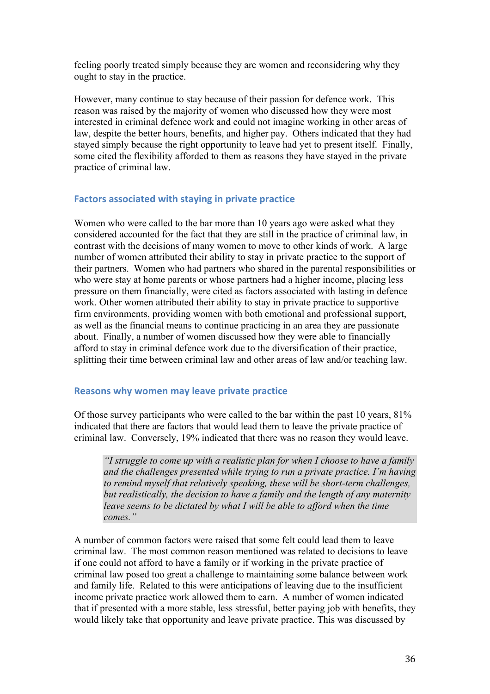feeling poorly treated simply because they are women and reconsidering why they ought to stay in the practice.

However, many continue to stay because of their passion for defence work. This reason was raised by the majority of women who discussed how they were most interested in criminal defence work and could not imagine working in other areas of law, despite the better hours, benefits, and higher pay. Others indicated that they had stayed simply because the right opportunity to leave had yet to present itself. Finally, some cited the flexibility afforded to them as reasons they have stayed in the private practice of criminal law.

#### Factors associated with staying in private practice

Women who were called to the bar more than 10 years ago were asked what they considered accounted for the fact that they are still in the practice of criminal law, in contrast with the decisions of many women to move to other kinds of work. A large number of women attributed their ability to stay in private practice to the support of their partners. Women who had partners who shared in the parental responsibilities or who were stay at home parents or whose partners had a higher income, placing less pressure on them financially, were cited as factors associated with lasting in defence work. Other women attributed their ability to stay in private practice to supportive firm environments, providing women with both emotional and professional support, as well as the financial means to continue practicing in an area they are passionate about. Finally, a number of women discussed how they were able to financially afford to stay in criminal defence work due to the diversification of their practice, splitting their time between criminal law and other areas of law and/or teaching law.

#### **Reasons why women may leave private practice**

Of those survey participants who were called to the bar within the past 10 years, 81% indicated that there are factors that would lead them to leave the private practice of criminal law. Conversely, 19% indicated that there was no reason they would leave.

*"I struggle to come up with a realistic plan for when I choose to have a family and the challenges presented while trying to run a private practice. I'm having to remind myself that relatively speaking, these will be short-term challenges, but realistically, the decision to have a family and the length of any maternity leave seems to be dictated by what I will be able to afford when the time comes."*

A number of common factors were raised that some felt could lead them to leave criminal law. The most common reason mentioned was related to decisions to leave if one could not afford to have a family or if working in the private practice of criminal law posed too great a challenge to maintaining some balance between work and family life. Related to this were anticipations of leaving due to the insufficient income private practice work allowed them to earn. A number of women indicated that if presented with a more stable, less stressful, better paying job with benefits, they would likely take that opportunity and leave private practice. This was discussed by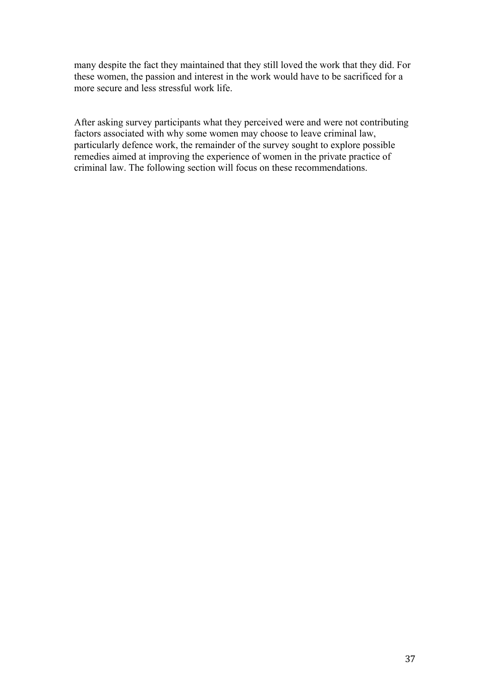many despite the fact they maintained that they still loved the work that they did. For these women, the passion and interest in the work would have to be sacrificed for a more secure and less stressful work life.

After asking survey participants what they perceived were and were not contributing factors associated with why some women may choose to leave criminal law, particularly defence work, the remainder of the survey sought to explore possible remedies aimed at improving the experience of women in the private practice of criminal law. The following section will focus on these recommendations.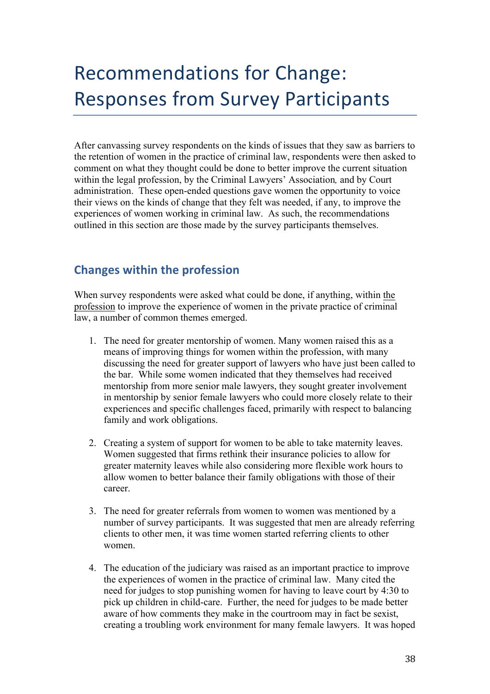# Recommendations for Change: **Responses from Survey Participants**

After canvassing survey respondents on the kinds of issues that they saw as barriers to the retention of women in the practice of criminal law, respondents were then asked to comment on what they thought could be done to better improve the current situation within the legal profession, by the Criminal Lawyers' Association*,* and by Court administration. These open-ended questions gave women the opportunity to voice their views on the kinds of change that they felt was needed, if any, to improve the experiences of women working in criminal law. As such, the recommendations outlined in this section are those made by the survey participants themselves.

## **Changes within the profession**

When survey respondents were asked what could be done, if anything, within the profession to improve the experience of women in the private practice of criminal law, a number of common themes emerged.

- 1. The need for greater mentorship of women. Many women raised this as a means of improving things for women within the profession, with many discussing the need for greater support of lawyers who have just been called to the bar. While some women indicated that they themselves had received mentorship from more senior male lawyers, they sought greater involvement in mentorship by senior female lawyers who could more closely relate to their experiences and specific challenges faced, primarily with respect to balancing family and work obligations.
- 2. Creating a system of support for women to be able to take maternity leaves. Women suggested that firms rethink their insurance policies to allow for greater maternity leaves while also considering more flexible work hours to allow women to better balance their family obligations with those of their career.
- 3. The need for greater referrals from women to women was mentioned by a number of survey participants. It was suggested that men are already referring clients to other men, it was time women started referring clients to other women.
- 4. The education of the judiciary was raised as an important practice to improve the experiences of women in the practice of criminal law. Many cited the need for judges to stop punishing women for having to leave court by 4:30 to pick up children in child-care. Further, the need for judges to be made better aware of how comments they make in the courtroom may in fact be sexist, creating a troubling work environment for many female lawyers. It was hoped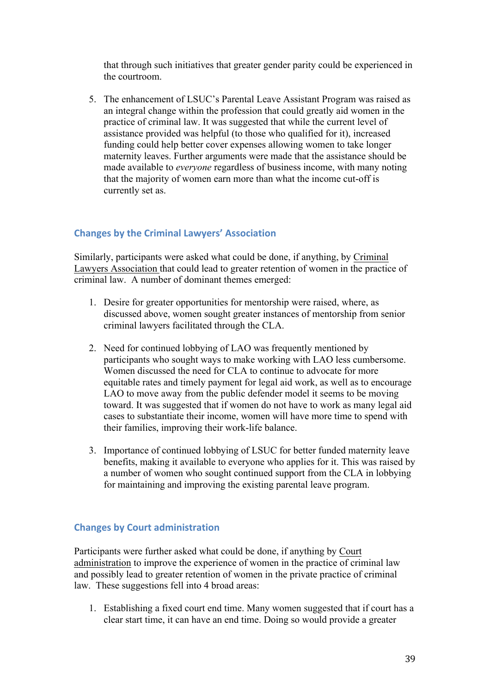that through such initiatives that greater gender parity could be experienced in the courtroom.

5. The enhancement of LSUC's Parental Leave Assistant Program was raised as an integral change within the profession that could greatly aid women in the practice of criminal law. It was suggested that while the current level of assistance provided was helpful (to those who qualified for it), increased funding could help better cover expenses allowing women to take longer maternity leaves. Further arguments were made that the assistance should be made available to *everyone* regardless of business income, with many noting that the majority of women earn more than what the income cut-off is currently set as.

## **Changes by the Criminal Lawyers' Association**

Similarly, participants were asked what could be done, if anything, by Criminal Lawyers Association that could lead to greater retention of women in the practice of criminal law. A number of dominant themes emerged:

- 1. Desire for greater opportunities for mentorship were raised, where, as discussed above, women sought greater instances of mentorship from senior criminal lawyers facilitated through the CLA.
- 2. Need for continued lobbying of LAO was frequently mentioned by participants who sought ways to make working with LAO less cumbersome. Women discussed the need for CLA to continue to advocate for more equitable rates and timely payment for legal aid work, as well as to encourage LAO to move away from the public defender model it seems to be moving toward. It was suggested that if women do not have to work as many legal aid cases to substantiate their income, women will have more time to spend with their families, improving their work-life balance.
- 3. Importance of continued lobbying of LSUC for better funded maternity leave benefits, making it available to everyone who applies for it. This was raised by a number of women who sought continued support from the CLA in lobbying for maintaining and improving the existing parental leave program.

## **Changes by Court administration**

Participants were further asked what could be done, if anything by Court administration to improve the experience of women in the practice of criminal law and possibly lead to greater retention of women in the private practice of criminal law. These suggestions fell into 4 broad areas:

1. Establishing a fixed court end time. Many women suggested that if court has a clear start time, it can have an end time. Doing so would provide a greater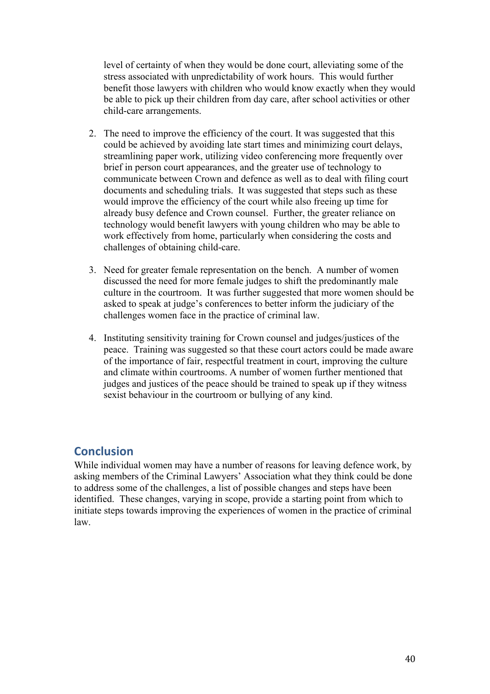level of certainty of when they would be done court, alleviating some of the stress associated with unpredictability of work hours. This would further benefit those lawyers with children who would know exactly when they would be able to pick up their children from day care, after school activities or other child-care arrangements.

- 2. The need to improve the efficiency of the court. It was suggested that this could be achieved by avoiding late start times and minimizing court delays, streamlining paper work, utilizing video conferencing more frequently over brief in person court appearances, and the greater use of technology to communicate between Crown and defence as well as to deal with filing court documents and scheduling trials. It was suggested that steps such as these would improve the efficiency of the court while also freeing up time for already busy defence and Crown counsel. Further, the greater reliance on technology would benefit lawyers with young children who may be able to work effectively from home, particularly when considering the costs and challenges of obtaining child-care.
- 3. Need for greater female representation on the bench. A number of women discussed the need for more female judges to shift the predominantly male culture in the courtroom. It was further suggested that more women should be asked to speak at judge's conferences to better inform the judiciary of the challenges women face in the practice of criminal law.
- 4. Instituting sensitivity training for Crown counsel and judges/justices of the peace. Training was suggested so that these court actors could be made aware of the importance of fair, respectful treatment in court, improving the culture and climate within courtrooms. A number of women further mentioned that judges and justices of the peace should be trained to speak up if they witness sexist behaviour in the courtroom or bullying of any kind.

## **Conclusion**

While individual women may have a number of reasons for leaving defence work, by asking members of the Criminal Lawyers' Association what they think could be done to address some of the challenges, a list of possible changes and steps have been identified. These changes, varying in scope, provide a starting point from which to initiate steps towards improving the experiences of women in the practice of criminal law.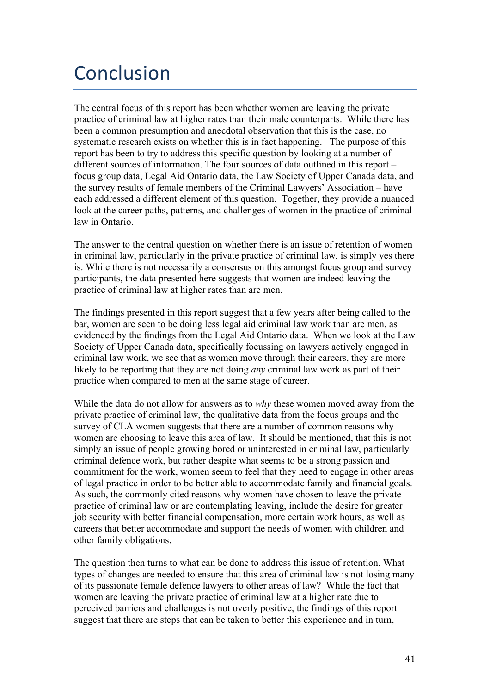# Conclusion

The central focus of this report has been whether women are leaving the private practice of criminal law at higher rates than their male counterparts. While there has been a common presumption and anecdotal observation that this is the case, no systematic research exists on whether this is in fact happening. The purpose of this report has been to try to address this specific question by looking at a number of different sources of information. The four sources of data outlined in this report – focus group data, Legal Aid Ontario data, the Law Society of Upper Canada data, and the survey results of female members of the Criminal Lawyers' Association – have each addressed a different element of this question. Together, they provide a nuanced look at the career paths, patterns, and challenges of women in the practice of criminal law in Ontario.

The answer to the central question on whether there is an issue of retention of women in criminal law, particularly in the private practice of criminal law, is simply yes there is. While there is not necessarily a consensus on this amongst focus group and survey participants, the data presented here suggests that women are indeed leaving the practice of criminal law at higher rates than are men.

The findings presented in this report suggest that a few years after being called to the bar, women are seen to be doing less legal aid criminal law work than are men, as evidenced by the findings from the Legal Aid Ontario data. When we look at the Law Society of Upper Canada data, specifically focussing on lawyers actively engaged in criminal law work, we see that as women move through their careers, they are more likely to be reporting that they are not doing *any* criminal law work as part of their practice when compared to men at the same stage of career.

While the data do not allow for answers as to *why* these women moved away from the private practice of criminal law, the qualitative data from the focus groups and the survey of CLA women suggests that there are a number of common reasons why women are choosing to leave this area of law. It should be mentioned, that this is not simply an issue of people growing bored or uninterested in criminal law, particularly criminal defence work, but rather despite what seems to be a strong passion and commitment for the work, women seem to feel that they need to engage in other areas of legal practice in order to be better able to accommodate family and financial goals. As such, the commonly cited reasons why women have chosen to leave the private practice of criminal law or are contemplating leaving, include the desire for greater job security with better financial compensation, more certain work hours, as well as careers that better accommodate and support the needs of women with children and other family obligations.

The question then turns to what can be done to address this issue of retention. What types of changes are needed to ensure that this area of criminal law is not losing many of its passionate female defence lawyers to other areas of law? While the fact that women are leaving the private practice of criminal law at a higher rate due to perceived barriers and challenges is not overly positive, the findings of this report suggest that there are steps that can be taken to better this experience and in turn,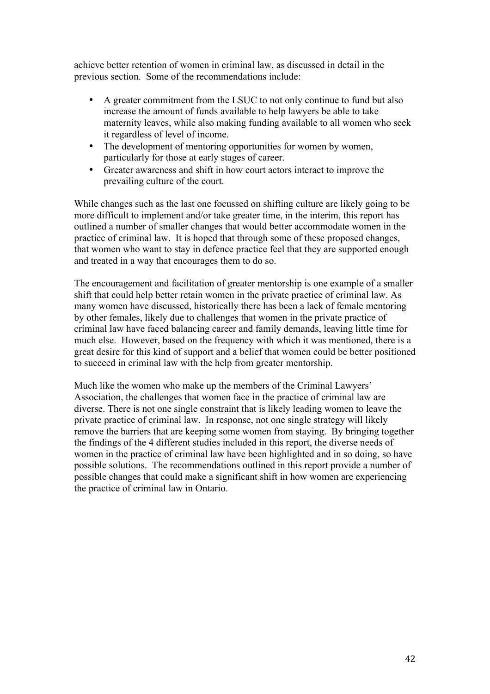achieve better retention of women in criminal law, as discussed in detail in the previous section. Some of the recommendations include:

- A greater commitment from the LSUC to not only continue to fund but also increase the amount of funds available to help lawyers be able to take maternity leaves, while also making funding available to all women who seek it regardless of level of income.
- The development of mentoring opportunities for women by women, particularly for those at early stages of career.
- Greater awareness and shift in how court actors interact to improve the prevailing culture of the court.

While changes such as the last one focussed on shifting culture are likely going to be more difficult to implement and/or take greater time, in the interim, this report has outlined a number of smaller changes that would better accommodate women in the practice of criminal law. It is hoped that through some of these proposed changes, that women who want to stay in defence practice feel that they are supported enough and treated in a way that encourages them to do so.

The encouragement and facilitation of greater mentorship is one example of a smaller shift that could help better retain women in the private practice of criminal law. As many women have discussed, historically there has been a lack of female mentoring by other females, likely due to challenges that women in the private practice of criminal law have faced balancing career and family demands, leaving little time for much else. However, based on the frequency with which it was mentioned, there is a great desire for this kind of support and a belief that women could be better positioned to succeed in criminal law with the help from greater mentorship.

Much like the women who make up the members of the Criminal Lawyers' Association, the challenges that women face in the practice of criminal law are diverse. There is not one single constraint that is likely leading women to leave the private practice of criminal law. In response, not one single strategy will likely remove the barriers that are keeping some women from staying. By bringing together the findings of the 4 different studies included in this report, the diverse needs of women in the practice of criminal law have been highlighted and in so doing, so have possible solutions. The recommendations outlined in this report provide a number of possible changes that could make a significant shift in how women are experiencing the practice of criminal law in Ontario.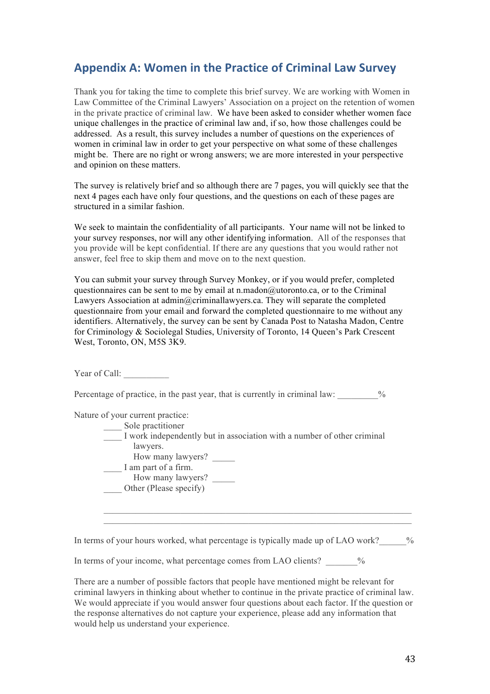## **Appendix A: Women in the Practice of Criminal Law Survey**

Thank you for taking the time to complete this brief survey. We are working with Women in Law Committee of the Criminal Lawyers' Association on a project on the retention of women in the private practice of criminal law. We have been asked to consider whether women face unique challenges in the practice of criminal law and, if so, how those challenges could be addressed. As a result, this survey includes a number of questions on the experiences of women in criminal law in order to get your perspective on what some of these challenges might be. There are no right or wrong answers; we are more interested in your perspective and opinion on these matters.

The survey is relatively brief and so although there are 7 pages, you will quickly see that the next 4 pages each have only four questions, and the questions on each of these pages are structured in a similar fashion.

We seek to maintain the confidentiality of all participants. Your name will not be linked to your survey responses, nor will any other identifying information. All of the responses that you provide will be kept confidential. If there are any questions that you would rather not answer, feel free to skip them and move on to the next question.

You can submit your survey through Survey Monkey, or if you would prefer, completed questionnaires can be sent to me by email at n.madon@utoronto.ca, or to the Criminal Lawyers Association at admin@criminallawyers.ca. They will separate the completed questionnaire from your email and forward the completed questionnaire to me without any identifiers. Alternatively, the survey can be sent by Canada Post to Natasha Madon, Centre for Criminology & Sociolegal Studies, University of Toronto, 14 Queen's Park Crescent West, Toronto, ON, M5S 3K9.

Year of Call:

Percentage of practice, in the past year, that is currently in criminal law:  $\%$ 

Nature of your current practice:

- Sole practitioner
- I work independently but in association with a number of other criminal lawyers.
	- How many lawyers?
- I am part of a firm.
- How many lawyers? Other (Please specify)

In terms of your hours worked, what percentage is typically made up of LAO work?  $\frac{1}{2}$ 

 $\mathcal{L}_\text{max} = \mathcal{L}_\text{max} = \mathcal{L}_\text{max} = \mathcal{L}_\text{max} = \mathcal{L}_\text{max} = \mathcal{L}_\text{max} = \mathcal{L}_\text{max} = \mathcal{L}_\text{max} = \mathcal{L}_\text{max} = \mathcal{L}_\text{max} = \mathcal{L}_\text{max} = \mathcal{L}_\text{max} = \mathcal{L}_\text{max} = \mathcal{L}_\text{max} = \mathcal{L}_\text{max} = \mathcal{L}_\text{max} = \mathcal{L}_\text{max} = \mathcal{L}_\text{max} = \mathcal{$  $\mathcal{L}_\text{max} = \mathcal{L}_\text{max} = \mathcal{L}_\text{max} = \mathcal{L}_\text{max} = \mathcal{L}_\text{max} = \mathcal{L}_\text{max} = \mathcal{L}_\text{max} = \mathcal{L}_\text{max} = \mathcal{L}_\text{max} = \mathcal{L}_\text{max} = \mathcal{L}_\text{max} = \mathcal{L}_\text{max} = \mathcal{L}_\text{max} = \mathcal{L}_\text{max} = \mathcal{L}_\text{max} = \mathcal{L}_\text{max} = \mathcal{L}_\text{max} = \mathcal{L}_\text{max} = \mathcal{$ 

In terms of your income, what percentage comes from LAO clients?  $\%$ 

There are a number of possible factors that people have mentioned might be relevant for criminal lawyers in thinking about whether to continue in the private practice of criminal law. We would appreciate if you would answer four questions about each factor. If the question or the response alternatives do not capture your experience, please add any information that would help us understand your experience.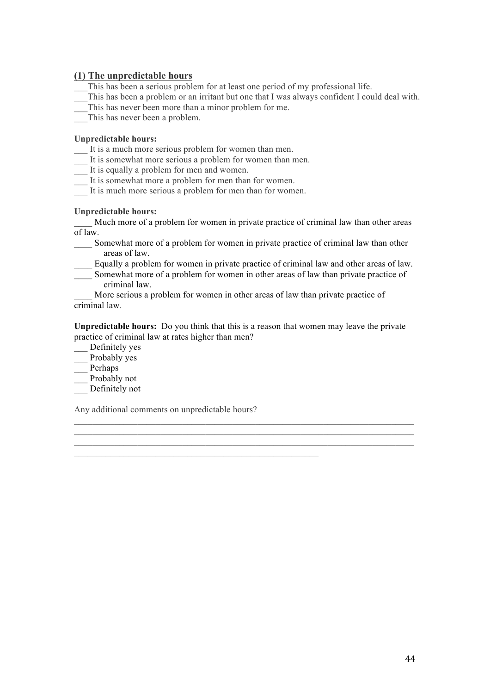#### **(1) The unpredictable hours**

- This has been a serious problem for at least one period of my professional life.
- \_\_\_This has been a problem or an irritant but one that I was always confident I could deal with.
- This has never been more than a minor problem for me.
- This has never been a problem.

#### **Unpredictable hours:**

- It is a much more serious problem for women than men.
- \_\_\_ It is somewhat more serious a problem for women than men.
- \_\_\_ It is equally a problem for men and women.
- \_\_\_ It is somewhat more a problem for men than for women.
- It is much more serious a problem for men than for women.

#### **Unpredictable hours:**

Much more of a problem for women in private practice of criminal law than other areas of law.

- Somewhat more of a problem for women in private practice of criminal law than other areas of law.
- \_\_\_\_ Equally a problem for women in private practice of criminal law and other areas of law.
- Somewhat more of a problem for women in other areas of law than private practice of criminal law.

More serious a problem for women in other areas of law than private practice of criminal law.

**Unpredictable hours:** Do you think that this is a reason that women may leave the private practice of criminal law at rates higher than men?

 $\mathcal{L}_\text{max} = \mathcal{L}_\text{max} = \mathcal{L}_\text{max} = \mathcal{L}_\text{max} = \mathcal{L}_\text{max} = \mathcal{L}_\text{max} = \mathcal{L}_\text{max} = \mathcal{L}_\text{max} = \mathcal{L}_\text{max} = \mathcal{L}_\text{max} = \mathcal{L}_\text{max} = \mathcal{L}_\text{max} = \mathcal{L}_\text{max} = \mathcal{L}_\text{max} = \mathcal{L}_\text{max} = \mathcal{L}_\text{max} = \mathcal{L}_\text{max} = \mathcal{L}_\text{max} = \mathcal{$  $\mathcal{L}_\text{max} = \mathcal{L}_\text{max} = \mathcal{L}_\text{max} = \mathcal{L}_\text{max} = \mathcal{L}_\text{max} = \mathcal{L}_\text{max} = \mathcal{L}_\text{max} = \mathcal{L}_\text{max} = \mathcal{L}_\text{max} = \mathcal{L}_\text{max} = \mathcal{L}_\text{max} = \mathcal{L}_\text{max} = \mathcal{L}_\text{max} = \mathcal{L}_\text{max} = \mathcal{L}_\text{max} = \mathcal{L}_\text{max} = \mathcal{L}_\text{max} = \mathcal{L}_\text{max} = \mathcal{$ 

- \_\_\_ Definitely yes
- $\equiv$  Probably yes
- \_\_\_ Perhaps
- Probably not
- \_\_\_ Definitely not

Any additional comments on unpredictable hours?

 $\mathcal{L}_\text{max} = \mathcal{L}_\text{max} = \mathcal{L}_\text{max} = \mathcal{L}_\text{max} = \mathcal{L}_\text{max} = \mathcal{L}_\text{max} = \mathcal{L}_\text{max} = \mathcal{L}_\text{max} = \mathcal{L}_\text{max} = \mathcal{L}_\text{max} = \mathcal{L}_\text{max} = \mathcal{L}_\text{max} = \mathcal{L}_\text{max} = \mathcal{L}_\text{max} = \mathcal{L}_\text{max} = \mathcal{L}_\text{max} = \mathcal{L}_\text{max} = \mathcal{L}_\text{max} = \mathcal{$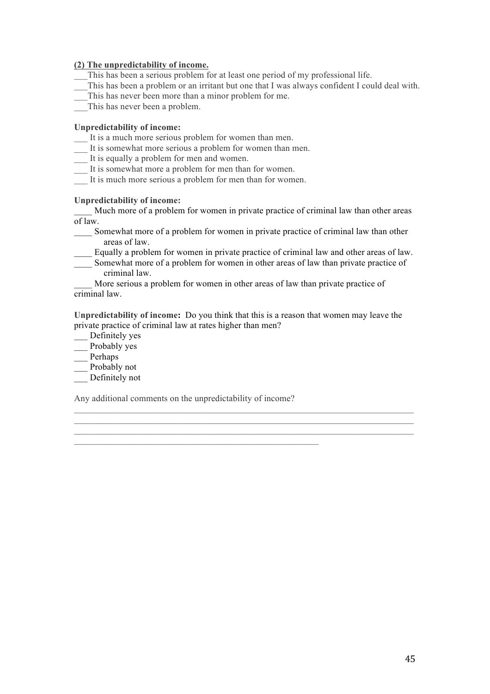#### **(2) The unpredictability of income.**

- This has been a serious problem for at least one period of my professional life.
- \_\_\_This has been a problem or an irritant but one that I was always confident I could deal with.
- \_\_\_This has never been more than a minor problem for me.
- This has never been a problem.

#### **Unpredictability of income:**

- \_\_\_ It is a much more serious problem for women than men.
- It is somewhat more serious a problem for women than men.
- \_\_\_ It is equally a problem for men and women.
- \_\_\_ It is somewhat more a problem for men than for women.
- It is much more serious a problem for men than for women.

#### **Unpredictability of income:**

Much more of a problem for women in private practice of criminal law than other areas of law.

- Somewhat more of a problem for women in private practice of criminal law than other areas of law.
- \_\_\_\_ Equally a problem for women in private practice of criminal law and other areas of law.
- Somewhat more of a problem for women in other areas of law than private practice of criminal law.
- More serious a problem for women in other areas of law than private practice of criminal law.

**Unpredictability of income:** Do you think that this is a reason that women may leave the private practice of criminal law at rates higher than men?

 $\mathcal{L}_\mathcal{L} = \{ \mathcal{L}_\mathcal{L} = \{ \mathcal{L}_\mathcal{L} = \{ \mathcal{L}_\mathcal{L} = \{ \mathcal{L}_\mathcal{L} = \{ \mathcal{L}_\mathcal{L} = \{ \mathcal{L}_\mathcal{L} = \{ \mathcal{L}_\mathcal{L} = \{ \mathcal{L}_\mathcal{L} = \{ \mathcal{L}_\mathcal{L} = \{ \mathcal{L}_\mathcal{L} = \{ \mathcal{L}_\mathcal{L} = \{ \mathcal{L}_\mathcal{L} = \{ \mathcal{L}_\mathcal{L} = \{ \mathcal{L}_\mathcal{$  $\mathcal{L}_\text{max} = \mathcal{L}_\text{max} = \mathcal{L}_\text{max} = \mathcal{L}_\text{max} = \mathcal{L}_\text{max} = \mathcal{L}_\text{max} = \mathcal{L}_\text{max} = \mathcal{L}_\text{max} = \mathcal{L}_\text{max} = \mathcal{L}_\text{max} = \mathcal{L}_\text{max} = \mathcal{L}_\text{max} = \mathcal{L}_\text{max} = \mathcal{L}_\text{max} = \mathcal{L}_\text{max} = \mathcal{L}_\text{max} = \mathcal{L}_\text{max} = \mathcal{L}_\text{max} = \mathcal{$  $\mathcal{L}_\text{max} = \mathcal{L}_\text{max} = \mathcal{L}_\text{max} = \mathcal{L}_\text{max} = \mathcal{L}_\text{max} = \mathcal{L}_\text{max} = \mathcal{L}_\text{max} = \mathcal{L}_\text{max} = \mathcal{L}_\text{max} = \mathcal{L}_\text{max} = \mathcal{L}_\text{max} = \mathcal{L}_\text{max} = \mathcal{L}_\text{max} = \mathcal{L}_\text{max} = \mathcal{L}_\text{max} = \mathcal{L}_\text{max} = \mathcal{L}_\text{max} = \mathcal{L}_\text{max} = \mathcal{$ 

- \_\_\_ Definitely yes
- \_\_\_ Probably yes
- \_\_\_ Perhaps
- \_\_ Probably not
- \_\_\_ Definitely not

Any additional comments on the unpredictability of income?

 $\mathcal{L}_\text{max}$  , and the contract of the contract of the contract of the contract of the contract of the contract of the contract of the contract of the contract of the contract of the contract of the contract of the contr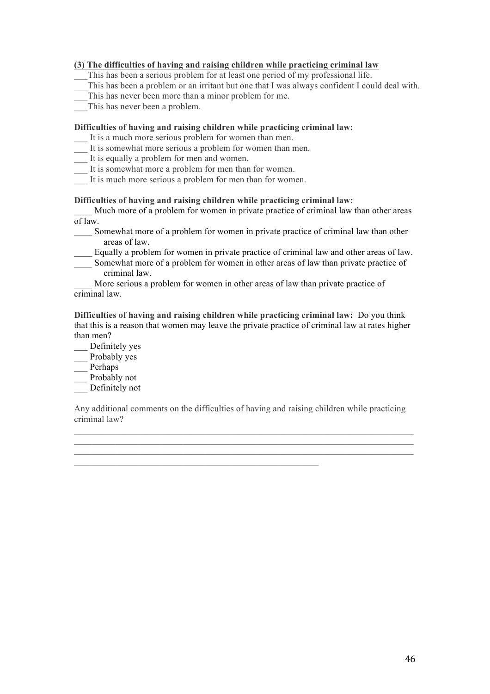#### **(3) The difficulties of having and raising children while practicing criminal law**

This has been a serious problem for at least one period of my professional life.

- \_\_\_This has been a problem or an irritant but one that I was always confident I could deal with.
- \_\_\_This has never been more than a minor problem for me.
- This has never been a problem.

#### **Difficulties of having and raising children while practicing criminal law:**

- \_\_\_ It is a much more serious problem for women than men.
- It is somewhat more serious a problem for women than men.
- \_\_\_ It is equally a problem for men and women.
- \_\_\_ It is somewhat more a problem for men than for women.
- It is much more serious a problem for men than for women.

#### **Difficulties of having and raising children while practicing criminal law:**

Much more of a problem for women in private practice of criminal law than other areas of law.

- Somewhat more of a problem for women in private practice of criminal law than other areas of law.
- \_\_\_\_ Equally a problem for women in private practice of criminal law and other areas of law.
- \_\_\_\_ Somewhat more of a problem for women in other areas of law than private practice of criminal law.

More serious a problem for women in other areas of law than private practice of criminal law.

**Difficulties of having and raising children while practicing criminal law:** Do you think that this is a reason that women may leave the private practice of criminal law at rates higher than men?

- \_\_\_ Definitely yes
- \_\_\_ Probably yes
- \_\_\_ Perhaps
- $\equiv$  Probably not
- \_\_\_ Definitely not

Any additional comments on the difficulties of having and raising children while practicing criminal law?

 $\mathcal{L}_\text{max} = \mathcal{L}_\text{max} = \mathcal{L}_\text{max} = \mathcal{L}_\text{max} = \mathcal{L}_\text{max} = \mathcal{L}_\text{max} = \mathcal{L}_\text{max} = \mathcal{L}_\text{max} = \mathcal{L}_\text{max} = \mathcal{L}_\text{max} = \mathcal{L}_\text{max} = \mathcal{L}_\text{max} = \mathcal{L}_\text{max} = \mathcal{L}_\text{max} = \mathcal{L}_\text{max} = \mathcal{L}_\text{max} = \mathcal{L}_\text{max} = \mathcal{L}_\text{max} = \mathcal{$  $\mathcal{L}_\text{max}$  and  $\mathcal{L}_\text{max}$  and  $\mathcal{L}_\text{max}$  and  $\mathcal{L}_\text{max}$  and  $\mathcal{L}_\text{max}$  and  $\mathcal{L}_\text{max}$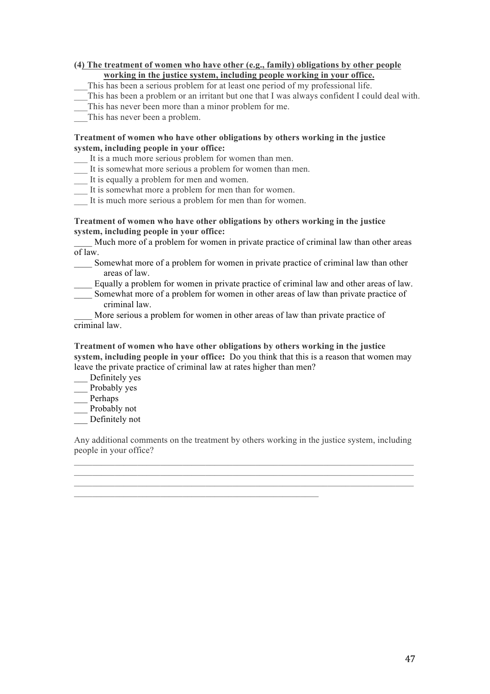#### **(4) The treatment of women who have other (e.g., family) obligations by other people working in the justice system, including people working in your office.**

\_\_\_This has been a serious problem for at least one period of my professional life.

- \_\_\_This has been a problem or an irritant but one that I was always confident I could deal with.
- This has never been more than a minor problem for me.

This has never been a problem.

#### **Treatment of women who have other obligations by others working in the justice system, including people in your office:**

- \_\_\_ It is a much more serious problem for women than men.
- \_\_\_ It is somewhat more serious a problem for women than men.
- \_\_\_ It is equally a problem for men and women.
- \_\_\_ It is somewhat more a problem for men than for women.
- It is much more serious a problem for men than for women.

#### **Treatment of women who have other obligations by others working in the justice system, including people in your office:**

Much more of a problem for women in private practice of criminal law than other areas of law.

- Somewhat more of a problem for women in private practice of criminal law than other areas of law.
- \_\_\_\_ Equally a problem for women in private practice of criminal law and other areas of law.
- Somewhat more of a problem for women in other areas of law than private practice of criminal law.

More serious a problem for women in other areas of law than private practice of criminal law.

**Treatment of women who have other obligations by others working in the justice system, including people in your office:** Do you think that this is a reason that women may leave the private practice of criminal law at rates higher than men?

\_\_\_ Definitely yes

- \_\_\_ Probably yes
- \_\_ Perhaps
- Probably not

\_\_\_ Definitely not

Any additional comments on the treatment by others working in the justice system, including people in your office?

 $\mathcal{L}_\text{max} = \mathcal{L}_\text{max} = \mathcal{L}_\text{max} = \mathcal{L}_\text{max} = \mathcal{L}_\text{max} = \mathcal{L}_\text{max} = \mathcal{L}_\text{max} = \mathcal{L}_\text{max} = \mathcal{L}_\text{max} = \mathcal{L}_\text{max} = \mathcal{L}_\text{max} = \mathcal{L}_\text{max} = \mathcal{L}_\text{max} = \mathcal{L}_\text{max} = \mathcal{L}_\text{max} = \mathcal{L}_\text{max} = \mathcal{L}_\text{max} = \mathcal{L}_\text{max} = \mathcal{$  $\mathcal{L}_\text{max}$  and  $\mathcal{L}_\text{max}$  and  $\mathcal{L}_\text{max}$  and  $\mathcal{L}_\text{max}$  and  $\mathcal{L}_\text{max}$  and  $\mathcal{L}_\text{max}$ 

 $\mathcal{L}_\text{max}$  , and the contract of the contract of the contract of the contract of the contract of the contract of the contract of the contract of the contract of the contract of the contract of the contract of the contr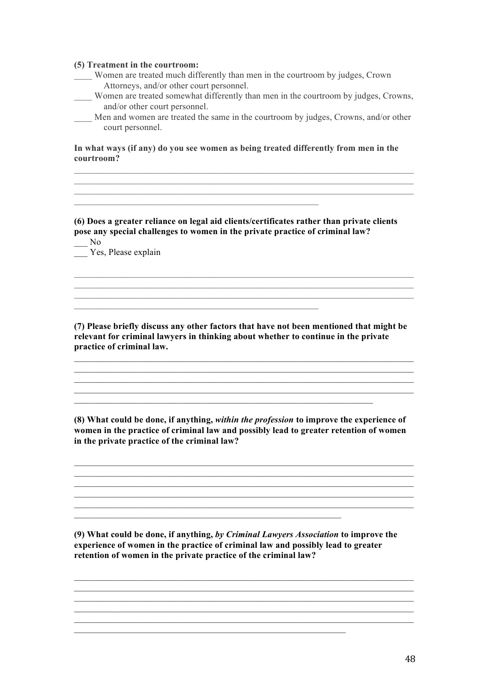#### **(5) Treatment in the courtroom:**

- \_\_\_\_ Women are treated much differently than men in the courtroom by judges, Crown Attorneys, and/or other court personnel.
- Women are treated somewhat differently than men in the courtroom by judges, Crowns, and/or other court personnel.
- Men and women are treated the same in the courtroom by judges, Crowns, and/or other court personnel.

 $\mathcal{L}_\mathcal{L} = \{ \mathcal{L}_\mathcal{L} = \{ \mathcal{L}_\mathcal{L} = \{ \mathcal{L}_\mathcal{L} = \{ \mathcal{L}_\mathcal{L} = \{ \mathcal{L}_\mathcal{L} = \{ \mathcal{L}_\mathcal{L} = \{ \mathcal{L}_\mathcal{L} = \{ \mathcal{L}_\mathcal{L} = \{ \mathcal{L}_\mathcal{L} = \{ \mathcal{L}_\mathcal{L} = \{ \mathcal{L}_\mathcal{L} = \{ \mathcal{L}_\mathcal{L} = \{ \mathcal{L}_\mathcal{L} = \{ \mathcal{L}_\mathcal{$  $\mathcal{L}_\mathcal{L} = \{ \mathcal{L}_\mathcal{L} = \{ \mathcal{L}_\mathcal{L} = \{ \mathcal{L}_\mathcal{L} = \{ \mathcal{L}_\mathcal{L} = \{ \mathcal{L}_\mathcal{L} = \{ \mathcal{L}_\mathcal{L} = \{ \mathcal{L}_\mathcal{L} = \{ \mathcal{L}_\mathcal{L} = \{ \mathcal{L}_\mathcal{L} = \{ \mathcal{L}_\mathcal{L} = \{ \mathcal{L}_\mathcal{L} = \{ \mathcal{L}_\mathcal{L} = \{ \mathcal{L}_\mathcal{L} = \{ \mathcal{L}_\mathcal{$  $\mathcal{L}_\text{max} = \mathcal{L}_\text{max} = \mathcal{L}_\text{max} = \mathcal{L}_\text{max} = \mathcal{L}_\text{max} = \mathcal{L}_\text{max} = \mathcal{L}_\text{max} = \mathcal{L}_\text{max} = \mathcal{L}_\text{max} = \mathcal{L}_\text{max} = \mathcal{L}_\text{max} = \mathcal{L}_\text{max} = \mathcal{L}_\text{max} = \mathcal{L}_\text{max} = \mathcal{L}_\text{max} = \mathcal{L}_\text{max} = \mathcal{L}_\text{max} = \mathcal{L}_\text{max} = \mathcal{$ 

**In what ways (if any) do you see women as being treated differently from men in the courtroom?**

**(6) Does a greater reliance on legal aid clients/certificates rather than private clients pose any special challenges to women in the private practice of criminal law?**

 $\mathcal{L}_\text{max}$  , and the contract of the contract of the contract of the contract of the contract of the contract of the contract of the contract of the contract of the contract of the contract of the contract of the contr

 $\mathcal{L}_\text{max} = \mathcal{L}_\text{max} = \mathcal{L}_\text{max} = \mathcal{L}_\text{max} = \mathcal{L}_\text{max} = \mathcal{L}_\text{max} = \mathcal{L}_\text{max} = \mathcal{L}_\text{max} = \mathcal{L}_\text{max} = \mathcal{L}_\text{max} = \mathcal{L}_\text{max} = \mathcal{L}_\text{max} = \mathcal{L}_\text{max} = \mathcal{L}_\text{max} = \mathcal{L}_\text{max} = \mathcal{L}_\text{max} = \mathcal{L}_\text{max} = \mathcal{L}_\text{max} = \mathcal{$ 

 $\overline{\phantom{0}}$  No  $\overline{\phantom{a}}$  Yes, Please explain

#### **(7) Please briefly discuss any other factors that have not been mentioned that might be relevant for criminal lawyers in thinking about whether to continue in the private practice of criminal law.**

 $\mathcal{L}_\text{max} = \mathcal{L}_\text{max} = \mathcal{L}_\text{max} = \mathcal{L}_\text{max} = \mathcal{L}_\text{max} = \mathcal{L}_\text{max} = \mathcal{L}_\text{max} = \mathcal{L}_\text{max} = \mathcal{L}_\text{max} = \mathcal{L}_\text{max} = \mathcal{L}_\text{max} = \mathcal{L}_\text{max} = \mathcal{L}_\text{max} = \mathcal{L}_\text{max} = \mathcal{L}_\text{max} = \mathcal{L}_\text{max} = \mathcal{L}_\text{max} = \mathcal{L}_\text{max} = \mathcal{$ 

\_\_\_\_\_\_\_\_\_\_\_\_\_\_\_\_\_\_\_\_\_\_\_\_\_\_\_\_\_\_\_\_\_\_\_\_\_\_\_\_\_\_\_\_\_\_\_\_\_\_\_\_\_\_\_\_\_\_\_\_\_\_\_\_\_\_\_\_\_\_\_\_\_\_\_

\_\_\_\_\_\_\_\_\_\_\_\_\_\_\_\_\_\_\_\_\_\_\_\_\_\_\_\_\_\_\_\_\_\_\_\_\_\_\_\_\_\_\_\_\_\_\_\_\_\_\_\_\_\_\_\_\_\_\_\_\_\_\_\_\_\_\_\_\_\_\_\_\_\_\_  $\mathcal{L}_\text{max}$  , and the set of the set of the set of the set of the set of the set of the set of the set of the set of the set of the set of the set of the set of the set of the set of the set of the set of the set of the

 $\mathcal{L}_\mathcal{L} = \{ \mathcal{L}_\mathcal{L} = \{ \mathcal{L}_\mathcal{L} = \{ \mathcal{L}_\mathcal{L} = \{ \mathcal{L}_\mathcal{L} = \{ \mathcal{L}_\mathcal{L} = \{ \mathcal{L}_\mathcal{L} = \{ \mathcal{L}_\mathcal{L} = \{ \mathcal{L}_\mathcal{L} = \{ \mathcal{L}_\mathcal{L} = \{ \mathcal{L}_\mathcal{L} = \{ \mathcal{L}_\mathcal{L} = \{ \mathcal{L}_\mathcal{L} = \{ \mathcal{L}_\mathcal{L} = \{ \mathcal{L}_\mathcal{$ 

 $\mathcal{L}_\text{max} = \mathcal{L}_\text{max} = \mathcal{L}_\text{max} = \mathcal{L}_\text{max} = \mathcal{L}_\text{max} = \mathcal{L}_\text{max} = \mathcal{L}_\text{max} = \mathcal{L}_\text{max} = \mathcal{L}_\text{max} = \mathcal{L}_\text{max} = \mathcal{L}_\text{max} = \mathcal{L}_\text{max} = \mathcal{L}_\text{max} = \mathcal{L}_\text{max} = \mathcal{L}_\text{max} = \mathcal{L}_\text{max} = \mathcal{L}_\text{max} = \mathcal{L}_\text{max} = \mathcal{$  $\overline{\phantom{a}}$  , and the contribution of the contribution of the contribution of the contribution of the contribution of the contribution of the contribution of the contribution of the contribution of the contribution of the

**(8) What could be done, if anything,** *within the profession* **to improve the experience of women in the practice of criminal law and possibly lead to greater retention of women in the private practice of the criminal law?**

 $\mathcal{L}_\text{max} = \mathcal{L}_\text{max} = \mathcal{L}_\text{max} = \mathcal{L}_\text{max} = \mathcal{L}_\text{max} = \mathcal{L}_\text{max} = \mathcal{L}_\text{max} = \mathcal{L}_\text{max} = \mathcal{L}_\text{max} = \mathcal{L}_\text{max} = \mathcal{L}_\text{max} = \mathcal{L}_\text{max} = \mathcal{L}_\text{max} = \mathcal{L}_\text{max} = \mathcal{L}_\text{max} = \mathcal{L}_\text{max} = \mathcal{L}_\text{max} = \mathcal{L}_\text{max} = \mathcal{$ 

**(9) What could be done, if anything,** *by Criminal Lawyers Association* **to improve the experience of women in the practice of criminal law and possibly lead to greater retention of women in the private practice of the criminal law?**

 $\mathcal{L}_\text{max}$  , and the contract of the contract of the contract of the contract of the contract of the contract of the contract of the contract of the contract of the contract of the contract of the contract of the contr  $\mathcal{L}_\text{max} = \mathcal{L}_\text{max} = \mathcal{L}_\text{max} = \mathcal{L}_\text{max} = \mathcal{L}_\text{max} = \mathcal{L}_\text{max} = \mathcal{L}_\text{max} = \mathcal{L}_\text{max} = \mathcal{L}_\text{max} = \mathcal{L}_\text{max} = \mathcal{L}_\text{max} = \mathcal{L}_\text{max} = \mathcal{L}_\text{max} = \mathcal{L}_\text{max} = \mathcal{L}_\text{max} = \mathcal{L}_\text{max} = \mathcal{L}_\text{max} = \mathcal{L}_\text{max} = \mathcal{$  $\mathcal{L}_\text{max} = \mathcal{L}_\text{max} = \mathcal{L}_\text{max} = \mathcal{L}_\text{max} = \mathcal{L}_\text{max} = \mathcal{L}_\text{max} = \mathcal{L}_\text{max} = \mathcal{L}_\text{max} = \mathcal{L}_\text{max} = \mathcal{L}_\text{max} = \mathcal{L}_\text{max} = \mathcal{L}_\text{max} = \mathcal{L}_\text{max} = \mathcal{L}_\text{max} = \mathcal{L}_\text{max} = \mathcal{L}_\text{max} = \mathcal{L}_\text{max} = \mathcal{L}_\text{max} = \mathcal{$  $\mathcal{L}_\text{max} = \mathcal{L}_\text{max} = \mathcal{L}_\text{max} = \mathcal{L}_\text{max} = \mathcal{L}_\text{max} = \mathcal{L}_\text{max} = \mathcal{L}_\text{max} = \mathcal{L}_\text{max} = \mathcal{L}_\text{max} = \mathcal{L}_\text{max} = \mathcal{L}_\text{max} = \mathcal{L}_\text{max} = \mathcal{L}_\text{max} = \mathcal{L}_\text{max} = \mathcal{L}_\text{max} = \mathcal{L}_\text{max} = \mathcal{L}_\text{max} = \mathcal{L}_\text{max} = \mathcal{$ 

 $\mathcal{L}_\text{max} = \mathcal{L}_\text{max} = \mathcal{L}_\text{max} = \mathcal{L}_\text{max} = \mathcal{L}_\text{max} = \mathcal{L}_\text{max} = \mathcal{L}_\text{max} = \mathcal{L}_\text{max} = \mathcal{L}_\text{max} = \mathcal{L}_\text{max} = \mathcal{L}_\text{max} = \mathcal{L}_\text{max} = \mathcal{L}_\text{max} = \mathcal{L}_\text{max} = \mathcal{L}_\text{max} = \mathcal{L}_\text{max} = \mathcal{L}_\text{max} = \mathcal{L}_\text{max} = \mathcal{$ 

 $\mathcal{L}_\text{max} = \mathcal{L}_\text{max} = \mathcal{L}_\text{max} = \mathcal{L}_\text{max} = \mathcal{L}_\text{max} = \mathcal{L}_\text{max} = \mathcal{L}_\text{max} = \mathcal{L}_\text{max} = \mathcal{L}_\text{max} = \mathcal{L}_\text{max} = \mathcal{L}_\text{max} = \mathcal{L}_\text{max} = \mathcal{L}_\text{max} = \mathcal{L}_\text{max} = \mathcal{L}_\text{max} = \mathcal{L}_\text{max} = \mathcal{L}_\text{max} = \mathcal{L}_\text{max} = \mathcal{$